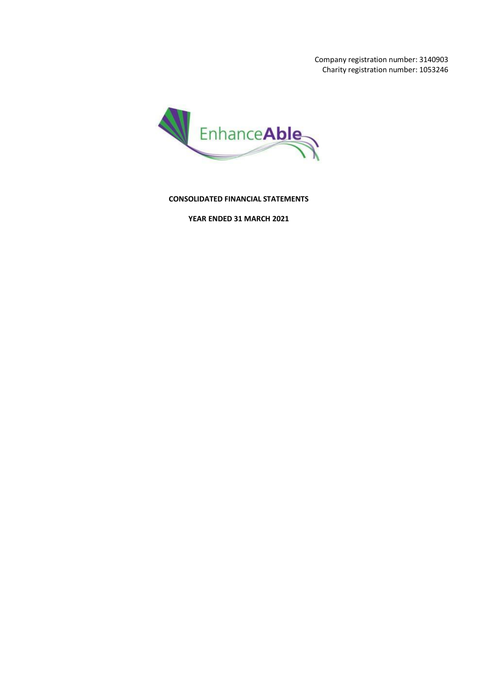Company registration number: 3140903 Charity registration number: 1053246



**CONSOLIDATED FINANCIAL STATEMENTS**

**YEAR ENDED 31 MARCH 2021**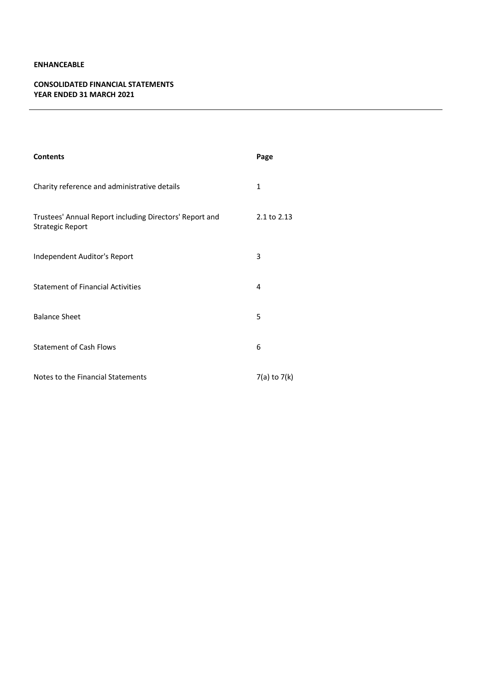# **CONSOLIDATED FINANCIAL STATEMENTS YEAR ENDED 31 MARCH 2021**

| <b>Contents</b>                                                                    | Page             |
|------------------------------------------------------------------------------------|------------------|
| Charity reference and administrative details                                       | $\mathbf{1}$     |
| Trustees' Annual Report including Directors' Report and<br><b>Strategic Report</b> | 2.1 to 2.13      |
| Independent Auditor's Report                                                       | 3                |
| <b>Statement of Financial Activities</b>                                           | 4                |
| <b>Balance Sheet</b>                                                               | 5                |
| <b>Statement of Cash Flows</b>                                                     | 6                |
| Notes to the Financial Statements                                                  | $7(a)$ to $7(k)$ |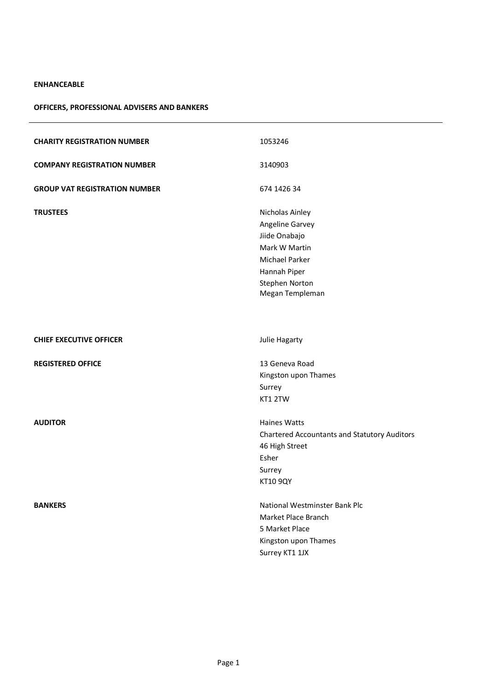# **OFFICERS, PROFESSIONAL ADVISERS AND BANKERS**

| <b>CHARITY REGISTRATION NUMBER</b>   | 1053246                                                                                                                                     |
|--------------------------------------|---------------------------------------------------------------------------------------------------------------------------------------------|
| <b>COMPANY REGISTRATION NUMBER</b>   | 3140903                                                                                                                                     |
| <b>GROUP VAT REGISTRATION NUMBER</b> | 674 1426 34                                                                                                                                 |
| <b>TRUSTEES</b>                      | Nicholas Ainley<br>Angeline Garvey<br>Jiide Onabajo<br>Mark W Martin<br>Michael Parker<br>Hannah Piper<br>Stephen Norton<br>Megan Templeman |
| <b>CHIEF EXECUTIVE OFFICER</b>       | Julie Hagarty                                                                                                                               |
| <b>REGISTERED OFFICE</b>             | 13 Geneva Road<br>Kingston upon Thames<br>Surrey<br>KT1 2TW                                                                                 |
| <b>AUDITOR</b>                       | Haines Watts<br><b>Chartered Accountants and Statutory Auditors</b><br>46 High Street<br>Esher<br>Surrey<br>KT10 9QY                        |
| <b>BANKERS</b>                       | National Westminster Bank Plc<br>Market Place Branch<br>5 Market Place<br>Kingston upon Thames<br>Surrey KT1 1JX                            |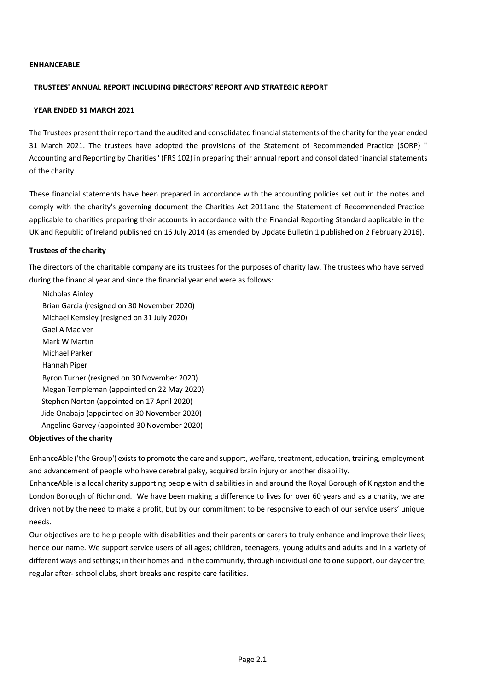### **TRUSTEES' ANNUAL REPORT INCLUDING DIRECTORS' REPORT AND STRATEGIC REPORT**

### **YEAR ENDED 31 MARCH 2021**

The Trustees present their report and the audited and consolidated financial statements of the charity for the year ended 31 March 2021. The trustees have adopted the provisions of the Statement of Recommended Practice (SORP} " Accounting and Reporting by Charities" (FRS 102) in preparing their annual report and consolidated financial statements of the charity.

These financial statements have been prepared in accordance with the accounting policies set out in the notes and comply with the charity's governing document the Charities Act 2011and the Statement of Recommended Practice applicable to charities preparing their accounts in accordance with the Financial Reporting Standard applicable in the UK and Republic of Ireland published on 16 July 2014 (as amended by Update Bulletin 1 published on 2 February 2016).

### **Trustees of the charity**

The directors of the charitable company are its trustees for the purposes of charity law. The trustees who have served during the financial year and since the financial year end were as follows:

Nicholas Ainley Brian Garcia (resigned on 30 November 2020) Michael Kemsley (resigned on 31 July 2020) Gael A MacIver Mark W Martin Michael Parker Hannah Piper Byron Turner (resigned on 30 November 2020) Megan Templeman (appointed on 22 May 2020) Stephen Norton (appointed on 17 April 2020) Jide Onabajo (appointed on 30 November 2020) Angeline Garvey (appointed 30 November 2020)

### **Objectives of the charity**

EnhanceAble ('the Group') exists to promote the care and support, welfare, treatment, education, training, employment and advancement of people who have cerebral palsy, acquired brain injury or another disability.

EnhanceAble is a local charity supporting people with disabilities in and around the Royal Borough of Kingston and the London Borough of Richmond. We have been making a difference to lives for over 60 years and as a charity, we are driven not by the need to make a profit, but by our commitment to be responsive to each of our service users' unique needs.

Our objectives are to help people with disabilities and their parents or carers to truly enhance and improve their lives; hence our name. We support service users of all ages; children, teenagers, young adults and adults and in a variety of different ways and settings; in their homes and in the community, through individual one to one support, our day centre, regular after- school clubs, short breaks and respite care facilities.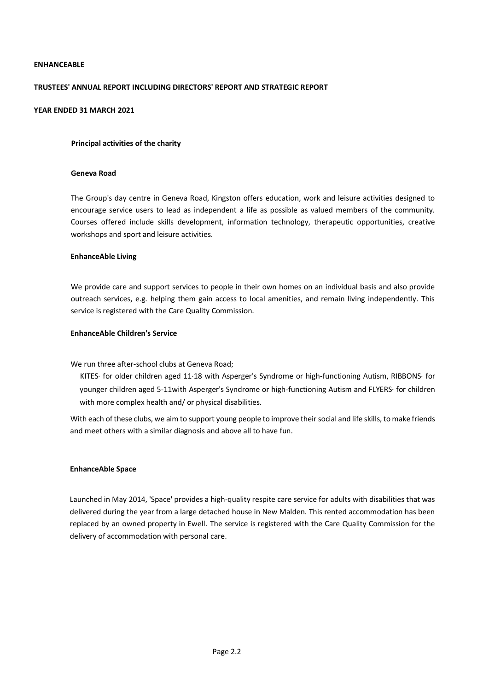### **TRUSTEES' ANNUAL REPORT INCLUDING DIRECTORS' REPORT AND STRATEGIC REPORT**

### **YEAR ENDED 31 MARCH 2021**

### **Principal activities of the charity**

### **Geneva Road**

The Group's day centre in Geneva Road, Kingston offers education, work and leisure activities designed to encourage service users to lead as independent a life as possible as valued members of the community. Courses offered include skills development, information technology, therapeutic opportunities, creative workshops and sport and leisure activities.

### **EnhanceAble Living**

We provide care and support services to people in their own homes on an individual basis and also provide outreach services, e.g. helping them gain access to local amenities, and remain living independently. This service is registered with the Care Quality Commission.

### **EnhanceAble Children's Service**

We run three after-school clubs at Geneva Road;

KITES· for older children aged 11·18 with Asperger's Syndrome or high-functioning Autism, RIBBONS· for younger children aged 5-11with Asperger's Syndrome or high-functioning Autism and FLYERS· for children with more complex health and/ or physical disabilities.

With each of these clubs, we aim to support young people to improve their social and life skills, to make friends and meet others with a similar diagnosis and above all to have fun.

### **EnhanceAble Space**

Launched in May 2014, 'Space' provides a high-quality respite care service for adults with disabilities that was delivered during the year from a large detached house in New Malden. This rented accommodation has been replaced by an owned property in Ewell. The service is registered with the Care Quality Commission for the delivery of accommodation with personal care.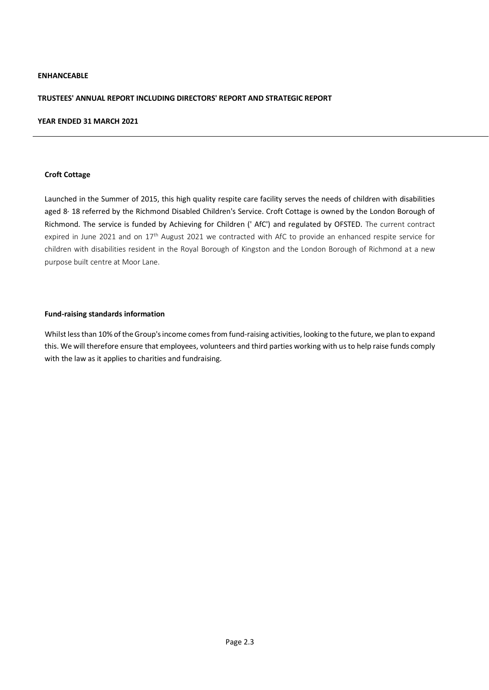### **TRUSTEES' ANNUAL REPORT INCLUDING DIRECTORS' REPORT AND STRATEGIC REPORT**

### **YEAR ENDED 31 MARCH 2021**

### **Croft Cottage**

Launched in the Summer of 2015, this high quality respite care facility serves the needs of children with disabilities aged 8· 18 referred by the Richmond Disabled Children's Service. Croft Cottage is owned by the London Borough of Richmond. The service is funded by Achieving for Children (' AfC') and regulated by OFSTED. The current contract expired in June 2021 and on 17<sup>th</sup> August 2021 we contracted with AfC to provide an enhanced respite service for children with disabilities resident in the Royal Borough of Kingston and the London Borough of Richmond at a new purpose built centre at Moor Lane.

### **Fund-raising standards information**

Whilst less than 10% of the Group's income comes from fund-raising activities, looking to the future, we plan to expand this. We will therefore ensure that employees, volunteers and third parties working with us to help raise funds comply with the law as it applies to charities and fundraising.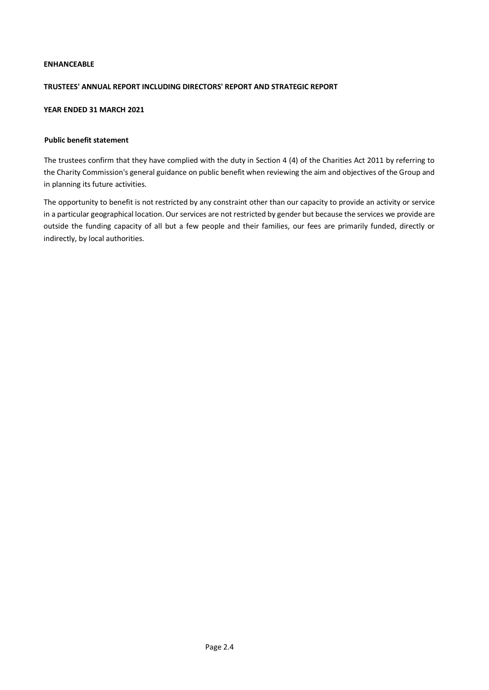### **TRUSTEES' ANNUAL REPORT INCLUDING DIRECTORS' REPORT AND STRATEGIC REPORT**

### **YEAR ENDED 31 MARCH 2021**

### **Public benefit statement**

The trustees confirm that they have complied with the duty in Section 4 (4) of the Charities Act 2011 by referring to the Charity Commission's general guidance on public benefit when reviewing the aim and objectives of the Group and in planning its future activities.

The opportunity to benefit is not restricted by any constraint other than our capacity to provide an activity or service in a particular geographical location. Our services are not restricted by gender but because the services we provide are outside the funding capacity of all but a few people and their families, our fees are primarily funded, directly or indirectly, by local authorities.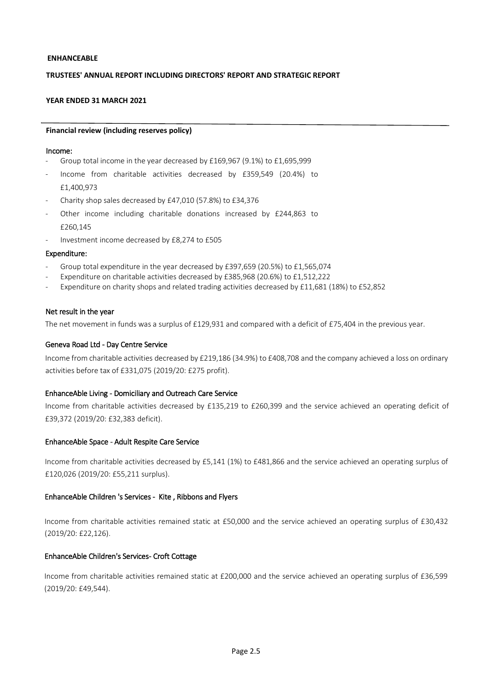### **TRUSTEES' ANNUAL REPORT INCLUDING DIRECTORS' REPORT AND STRATEGIC REPORT**

### **YEAR ENDED 31 MARCH 2021**

### **Financial review (including reserves policy)**

### Income:

- Group total income in the year decreased by £169,967 (9.1%) to £1,695,999
- Income from charitable activities decreased by £359,549 (20.4%) to £1,400,973
- Charity shop sales decreased by £47,010 (57.8%) to £34,376
- Other income including charitable donations increased by £244,863 to £260,145
- Investment income decreased by £8,274 to £505

### Expenditure:

- Group total expenditure in the year decreased by  $£397,659$  (20.5%) to  $£1,565,074$
- Expenditure on charitable activities decreased by £385,968 (20.6%) to £1,512,222
- Expenditure on charity shops and related trading activities decreased by £11,681 (18%) to £52,852

### Net result in the year

The net movement in funds was a surplus of £129,931 and compared with a deficit of £75,404 in the previous year.

### Geneva Road Ltd - Day Centre Service

Income from charitable activities decreased by £219,186 (34.9%) to £408,708 and the company achieved a loss on ordinary activities before tax of £331,075 (2019/20: £275 profit).

### EnhanceAble Living - Domiciliary and Outreach Care Service

Income from charitable activities decreased by £135,219 to £260,399 and the service achieved an operating deficit of £39,372 (2019/20: £32,383 deficit).

### EnhanceAble Space - Adult Respite Care Service

Income from charitable activities decreased by £5,141 (1%) to £481,866 and the service achieved an operating surplus of £120,026 (2019/20: £55,211 surplus).

### EnhanceAble Children 's Services - Kite , Ribbons and Flyers

Income from charitable activities remained static at £50,000 and the service achieved an operating surplus of £30,432 (2019/20: £22,126).

### EnhanceAble Children's Services- Croft Cottage

Income from charitable activities remained static at £200,000 and the service achieved an operating surplus of £36,599 (2019/20: £49,544).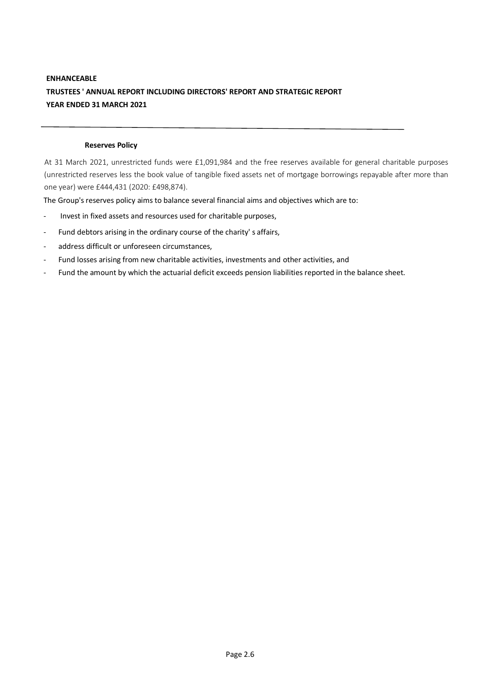# **ENHANCEABLE TRUSTEES ' ANNUAL REPORT INCLUDING DIRECTORS' REPORT AND STRATEGIC REPORT YEAR ENDED 31 MARCH 2021**

### **Reserves Policy**

At 31 March 2021, unrestricted funds were £1,091,984 and the free reserves available for general charitable purposes (unrestricted reserves less the book value of tangible fixed assets net of mortgage borrowings repayable after more than one year) were £444,431 (2020: £498,874).

The Group's reserves policy aims to balance several financial aims and objectives which are to:

- Invest in fixed assets and resources used for charitable purposes,
- Fund debtors arising in the ordinary course of the charity's affairs,
- address difficult or unforeseen circumstances,
- Fund losses arising from new charitable activities, investments and other activities, and
- Fund the amount by which the actuarial deficit exceeds pension liabilities reported in the balance sheet.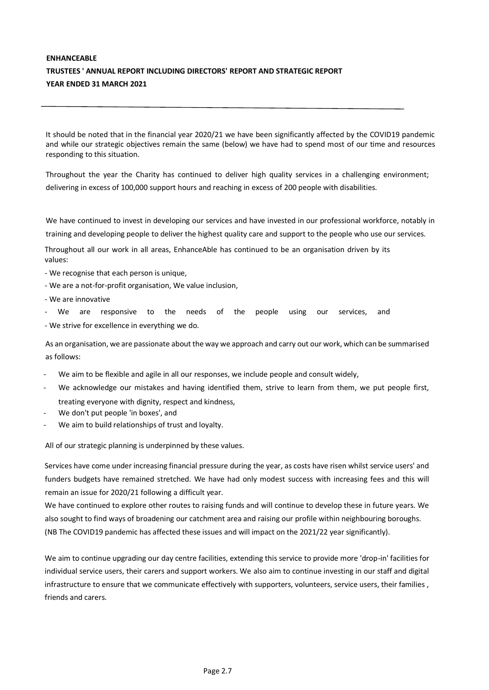# **ENHANCEABLE TRUSTEES ' ANNUAL REPORT INCLUDING DIRECTORS' REPORT AND STRATEGIC REPORT YEAR ENDED 31 MARCH 2021**

It should be noted that in the financial year 2020/21 we have been significantly affected by the COVID19 pandemic and while our strategic objectives remain the same (below) we have had to spend most of our time and resources responding to this situation.

Throughout the year the Charity has continued to deliver high quality services in a challenging environment; delivering in excess of 100,000 support hours and reaching in excess of 200 people with disabilities.

We have continued to invest in developing our services and have invested in our professional workforce, notably in training and developing people to deliver the highest quality care and support to the people who use our services.

Throughout all our work in all areas, EnhanceAble has continued to be an organisation driven by its values:

- We recognise that each person is unique,
- We are a not-for-profit organisation, We value inclusion,
- We are innovative
- We are responsive to the needs of the people using our services, and
- We strive for excellence in everything we do.

As an organisation, we are passionate about the way we approach and carry out our work, which can be summarised as follows:

- We aim to be flexible and agile in all our responses, we include people and consult widely,
- We acknowledge our mistakes and having identified them, strive to learn from them, we put people first, treating everyone with dignity, respect and kindness,
- We don't put people 'in boxes', and
- We aim to build relationships of trust and loyalty.

All of our strategic planning is underpinned by these values.

Services have come under increasing financial pressure during the year, as costs have risen whilst service users' and funders budgets have remained stretched. We have had only modest success with increasing fees and this will remain an issue for 2020/21 following a difficult year.

We have continued to explore other routes to raising funds and will continue to develop these in future years. We also sought to find ways of broadening our catchment area and raising our profile within neighbouring boroughs. (NB The COVID19 pandemic has affected these issues and will impact on the 2021/22 year significantly).

We aim to continue upgrading our day centre facilities, extending this service to provide more 'drop-in' facilities for individual service users, their carers and support workers. We also aim to continue investing in our staff and digital infrastructure to ensure that we communicate effectively with supporters, volunteers, service users, their families , friends and carers.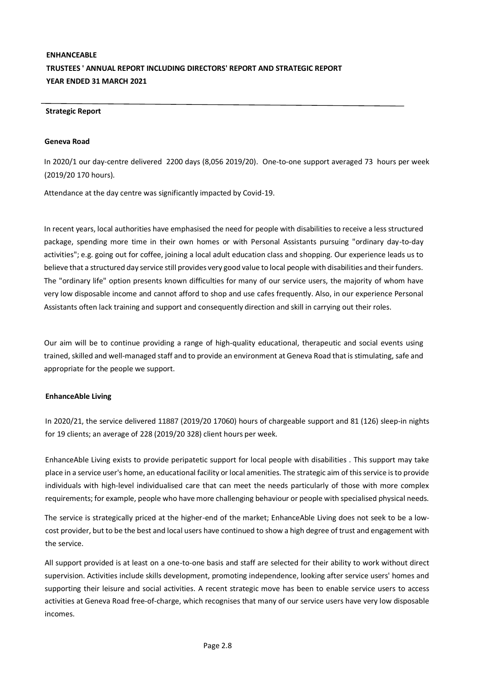# **ENHANCEABLE TRUSTEES ' ANNUAL REPORT INCLUDING DIRECTORS' REPORT AND STRATEGIC REPORT YEAR ENDED 31 MARCH 2021**

### **Strategic Report**

### **Geneva Road**

In 2020/1 our day-centre delivered 2200 days (8,056 2019/20). One-to-one support averaged 73 hours per week (2019/20 170 hours).

Attendance at the day centre was significantly impacted by Covid-19.

In recent years, local authorities have emphasised the need for people with disabilities to receive a less structured package, spending more time in their own homes or with Personal Assistants pursuing "ordinary day-to-day activities"; e.g. going out for coffee, joining a local adult education class and shopping. Our experience leads us to believe that a structured day service still provides very good value to local people with disabilities and their funders. The "ordinary life" option presents known difficulties for many of our service users, the majority of whom have very low disposable income and cannot afford to shop and use cafes frequently. Also, in our experience Personal Assistants often lack training and support and consequently direction and skill in carrying out their roles.

Our aim will be to continue providing a range of high-quality educational, therapeutic and social events using trained, skilled and well-managed staff and to provide an environment at Geneva Road that is stimulating, safe and appropriate for the people we support.

### **EnhanceAble Living**

In 2020/21, the service delivered 11887 (2019/20 17060) hours of chargeable support and 81 (126) sleep-in nights for 19 clients; an average of 228 (2019/20 328) client hours per week.

EnhanceAble Living exists to provide peripatetic support for local people with disabilities . This support may take place in a service user's home, an educational facility or local amenities. The strategic aim of this service is to provide individuals with high-level individualised care that can meet the needs particularly of those with more complex requirements; for example, people who have more challenging behaviour or people with specialised physical needs.

The service is strategically priced at the higher-end of the market; EnhanceAble Living does not seek to be a lowcost provider, but to be the best and local users have continued to show a high degree of trust and engagement with the service.

All support provided is at least on a one-to-one basis and staff are selected for their ability to work without direct supervision. Activities include skills development, promoting independence, looking after service users' homes and supporting their leisure and social activities. A recent strategic move has been to enable service users to access activities at Geneva Road free-of-charge, which recognises that many of our service users have very low disposable incomes.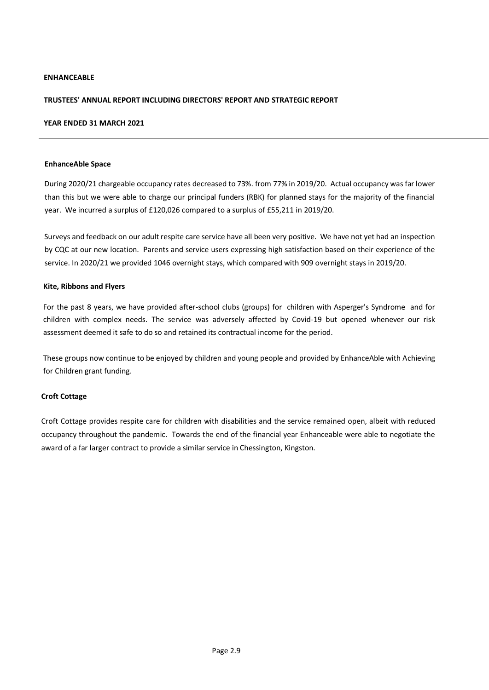### **TRUSTEES' ANNUAL REPORT INCLUDING DIRECTORS' REPORT AND STRATEGIC REPORT**

### **YEAR ENDED 31 MARCH 2021**

### **EnhanceAble Space**

During 2020/21 chargeable occupancy rates decreased to 73%. from 77% in 2019/20. Actual occupancy was far lower than this but we were able to charge our principal funders (RBK) for planned stays for the majority of the financial year. We incurred a surplus of £120,026 compared to a surplus of £55,211 in 2019/20.

Surveys and feedback on our adult respite care service have all been very positive. We have not yet had an inspection by CQC at our new location. Parents and service users expressing high satisfaction based on their experience of the service. In 2020/21 we provided 1046 overnight stays, which compared with 909 overnight stays in 2019/20.

#### **Kite, Ribbons and Flyers**

For the past 8 years, we have provided after-school clubs (groups) for children with Asperger's Syndrome and for children with complex needs. The service was adversely affected by Covid-19 but opened whenever our risk assessment deemed it safe to do so and retained its contractual income for the period.

These groups now continue to be enjoyed by children and young people and provided by EnhanceAble with Achieving for Children grant funding.

### **Croft Cottage**

Croft Cottage provides respite care for children with disabilities and the service remained open, albeit with reduced occupancy throughout the pandemic. Towards the end of the financial year Enhanceable were able to negotiate the award of a far larger contract to provide a similar service in Chessington, Kingston.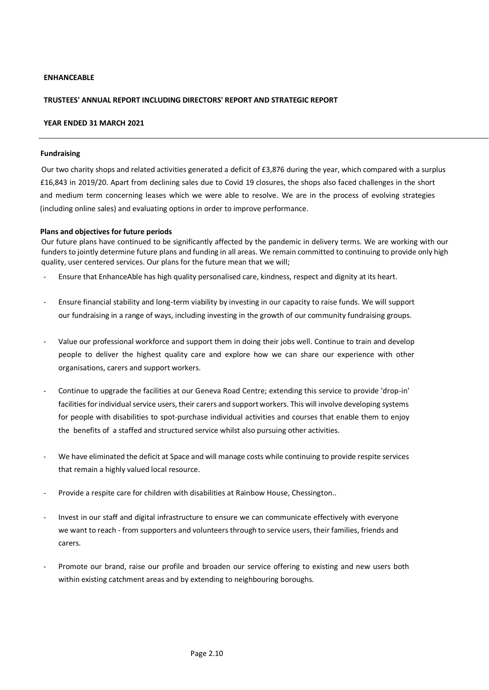### **TRUSTEES' ANNUAL REPORT INCLUDING DIRECTORS' REPORT AND STRATEGIC REPORT**

### **YEAR ENDED 31 MARCH 2021**

### **Fundraising**

Our two charity shops and related activities generated a deficit of £3,876 during the year, which compared with a surplus £16,843 in 2019/20. Apart from declining sales due to Covid 19 closures, the shops also faced challenges in the short and medium term concerning leases which we were able to resolve. We are in the process of evolving strategies (including online sales) and evaluating options in order to improve performance.

#### **Plans and objectives for future periods**

Our future plans have continued to be significantly affected by the pandemic in delivery terms. We are working with our funders to jointly determine future plans and funding in all areas. We remain committed to continuing to provide only high quality, user centered services. Our plans for the future mean that we will;

- Ensure that EnhanceAble has high quality personalised care, kindness, respect and dignity at its heart.
- Ensure financial stability and long-term viability by investing in our capacity to raise funds. We will support our fundraising in a range of ways, including investing in the growth of our community fundraising groups.
- Value our professional workforce and support them in doing their jobs well. Continue to train and develop people to deliver the highest quality care and explore how we can share our experience with other organisations, carers and support workers.
- Continue to upgrade the facilities at our Geneva Road Centre; extending this service to provide 'drop-in' facilities for individual service users, their carers and support workers. This will involve developing systems for people with disabilities to spot-purchase individual activities and courses that enable them to enjoy the benefits of a staffed and structured service whilst also pursuing other activities.
- We have eliminated the deficit at Space and will manage costs while continuing to provide respite services that remain a highly valued local resource.
- Provide a respite care for children with disabilities at Rainbow House, Chessington..
- Invest in our staff and digital infrastructure to ensure we can communicate effectively with everyone we want to reach - from supporters and volunteers through to service users, their families, friends and carers.
- Promote our brand, raise our profile and broaden our service offering to existing and new users both within existing catchment areas and by extending to neighbouring boroughs.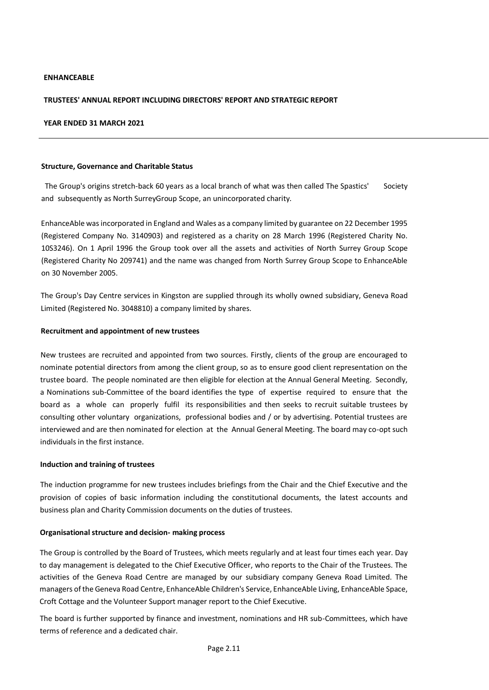### **TRUSTEES' ANNUAL REPORT INCLUDING DIRECTORS' REPORT AND STRATEGIC REPORT**

### **YEAR ENDED 31 MARCH 2021**

#### **Structure, Governance and Charitable Status**

 The Group's origins stretch-back 60 years as a local branch of what was then called The Spastics' Society and subsequently as North SurreyGroup Scope, an unincorporated charity.

EnhanceAble was incorporated in England and Wales as a company limited by guarantee on 22 December 1995 (Registered Company No. 3140903) and registered as a charity on 28 March 1996 (Registered Charity No. 10S3246). On 1 April 1996 the Group took over all the assets and activities of North Surrey Group Scope (Registered Charity No 209741) and the name was changed from North Surrey Group Scope to EnhanceAble on 30 November 2005.

The Group's Day Centre services in Kingston are supplied through its wholly owned subsidiary, Geneva Road Limited (Registered No. 3048810) a company limited by shares.

### **Recruitment and appointment of new trustees**

New trustees are recruited and appointed from two sources. Firstly, clients of the group are encouraged to nominate potential directors from among the client group, so as to ensure good client representation on the trustee board. The people nominated are then eligible for election at the Annual General Meeting. Secondly, a Nominations sub-Committee of the board identifies the type of expertise required to ensure that the board as a whole can properly fulfil its responsibilities and then seeks to recruit suitable trustees by consulting other voluntary organizations, professional bodies and / or by advertising. Potential trustees are interviewed and are then nominated for election at the Annual General Meeting. The board may co-opt such individuals in the first instance.

#### **Induction and training of trustees**

The induction programme for new trustees includes briefings from the Chair and the Chief Executive and the provision of copies of basic information including the constitutional documents, the latest accounts and business plan and Charity Commission documents on the duties of trustees.

### **Organisational structure and decision- making process**

The Group is controlled by the Board of Trustees, which meets regularly and at least four times each year. Day to day management is delegated to the Chief Executive Officer, who reports to the Chair of the Trustees. The activities of the Geneva Road Centre are managed by our subsidiary company Geneva Road Limited. The managers of the Geneva Road Centre, EnhanceAble Children's Service, EnhanceAble Living, EnhanceAble Space, Croft Cottage and the Volunteer Support manager report to the Chief Executive.

The board is further supported by finance and investment, nominations and HR sub-Committees, which have terms of reference and a dedicated chair.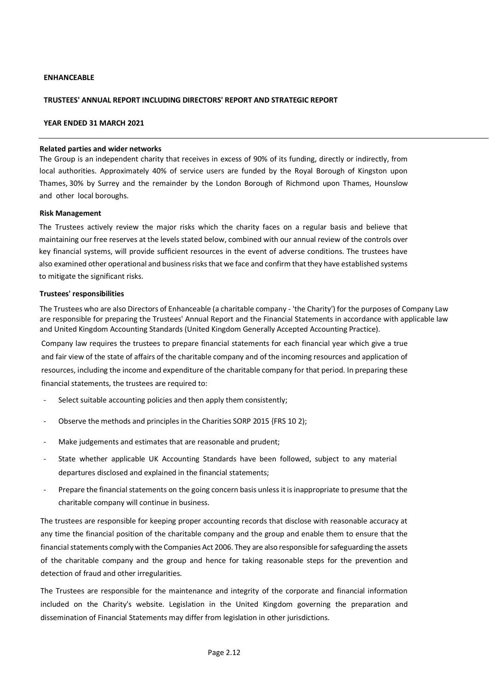### **TRUSTEES' ANNUAL REPORT INCLUDING DIRECTORS' REPORT AND STRATEGIC REPORT**

### **YEAR ENDED 31 MARCH 2021**

#### **Related parties and wider networks**

The Group is an independent charity that receives in excess of 90% of its funding, directly or indirectly, from local authorities. Approximately 40% of service users are funded by the Royal Borough of Kingston upon Thames, 30% by Surrey and the remainder by the London Borough of Richmond upon Thames, Hounslow and other local boroughs.

#### **Risk Management**

The Trustees actively review the major risks which the charity faces on a regular basis and believe that maintaining our free reserves at the levels stated below, combined with our annual review of the controls over key financial systems, will provide sufficient resources in the event of adverse conditions. The trustees have also examined other operational and business risks that we face and confirm that they have established systems to mitigate the significant risks.

### **Trustees' responsibilities**

The Trustees who are also Directors of Enhanceable (a charitable company - 'the Charity') for the purposes of Company Law are responsible for preparing the Trustees' Annual Report and the Financial Statements in accordance with applicable law and United Kingdom Accounting Standards (United Kingdom Generally Accepted Accounting Practice).

Company law requires the trustees to prepare financial statements for each financial year which give a true and fair view of the state of affairs of the charitable company and of the incoming resources and application of resources, including the income and expenditure of the charitable company for that period. In preparing these financial statements, the trustees are required to:

- Select suitable accounting policies and then apply them consistently;
- Observe the methods and principles in the Charities SORP 2015 {FRS 10 2);
- Make judgements and estimates that are reasonable and prudent;
- State whether applicable UK Accounting Standards have been followed, subject to any material departures disclosed and explained in the financial statements;
- Prepare the financial statements on the going concern basis unless it is inappropriate to presume that the charitable company will continue in business.

The trustees are responsible for keeping proper accounting records that disclose with reasonable accuracy at any time the financial position of the charitable company and the group and enable them to ensure that the financial statements comply with the Companies Act 2006. They are also responsible for safeguarding the assets of the charitable company and the group and hence for taking reasonable steps for the prevention and detection of fraud and other irregularities.

The Trustees are responsible for the maintenance and integrity of the corporate and financial information included on the Charity's website. Legislation in the United Kingdom governing the preparation and dissemination of Financial Statements may differ from legislation in other jurisdictions.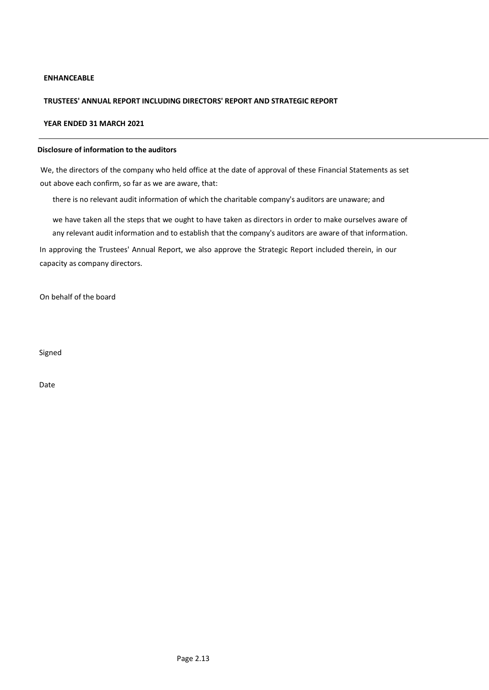### **TRUSTEES' ANNUAL REPORT INCLUDING DIRECTORS' REPORT AND STRATEGIC REPORT**

### **YEAR ENDED 31 MARCH 2021**

### **Disclosure of information to the auditors**

We, the directors of the company who held office at the date of approval of these Financial Statements as set out above each confirm, so far as we are aware, that:

there is no relevant audit information of which the charitable company's auditors are unaware; and

we have taken all the steps that we ought to have taken as directors in order to make ourselves aware of any relevant audit information and to establish that the company's auditors are aware of that information.

In approving the Trustees' Annual Report, we also approve the Strategic Report included therein, in our capacity as company directors.

On behalf of the board

Signed

Date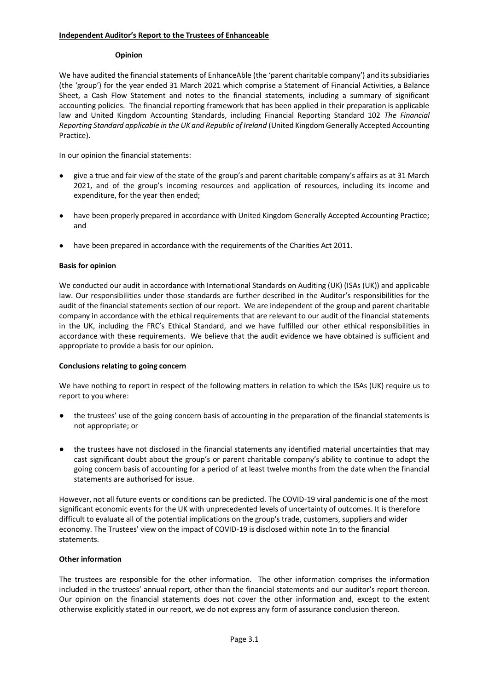### **Opinion**

We have audited the financial statements of EnhanceAble (the 'parent charitable company') and its subsidiaries (the 'group') for the year ended 31 March 2021 which comprise a Statement of Financial Activities, a Balance Sheet, a Cash Flow Statement and notes to the financial statements, including a summary of significant accounting policies. The financial reporting framework that has been applied in their preparation is applicable law and United Kingdom Accounting Standards, including Financial Reporting Standard 102 *The Financial Reporting Standard applicable in the UK and Republic of Ireland* (United Kingdom Generally Accepted Accounting Practice).

In our opinion the financial statements:

- give a true and fair view of the state of the group's and parent charitable company's affairs as at 31 March 2021, and of the group's incoming resources and application of resources, including its income and expenditure, for the year then ended;
- have been properly prepared in accordance with United Kingdom Generally Accepted Accounting Practice; and
- have been prepared in accordance with the requirements of the Charities Act 2011.

### **Basis for opinion**

We conducted our audit in accordance with International Standards on Auditing (UK) (ISAs (UK)) and applicable law. Our responsibilities under those standards are further described in the Auditor's responsibilities for the audit of the financial statements section of our report. We are independent of the group and parent charitable company in accordance with the ethical requirements that are relevant to our audit of the financial statements in the UK, including the FRC's Ethical Standard, and we have fulfilled our other ethical responsibilities in accordance with these requirements. We believe that the audit evidence we have obtained is sufficient and appropriate to provide a basis for our opinion.

### **Conclusions relating to going concern**

We have nothing to report in respect of the following matters in relation to which the ISAs (UK) require us to report to you where:

- the trustees' use of the going concern basis of accounting in the preparation of the financial statements is not appropriate; or
- the trustees have not disclosed in the financial statements any identified material uncertainties that may cast significant doubt about the group's or parent charitable company's ability to continue to adopt the going concern basis of accounting for a period of at least twelve months from the date when the financial statements are authorised for issue.

However, not all future events or conditions can be predicted. The COVID-19 viral pandemic is one of the most significant economic events for the UK with unprecedented levels of uncertainty of outcomes. It is therefore difficult to evaluate all of the potential implications on the group's trade, customers, suppliers and wider economy. The Trustees' view on the impact of COVID-19 is disclosed within note 1n to the financial statements.

### **Other information**

The trustees are responsible for the other information. The other information comprises the information included in the trustees' annual report, other than the financial statements and our auditor's report thereon. Our opinion on the financial statements does not cover the other information and, except to the extent otherwise explicitly stated in our report, we do not express any form of assurance conclusion thereon.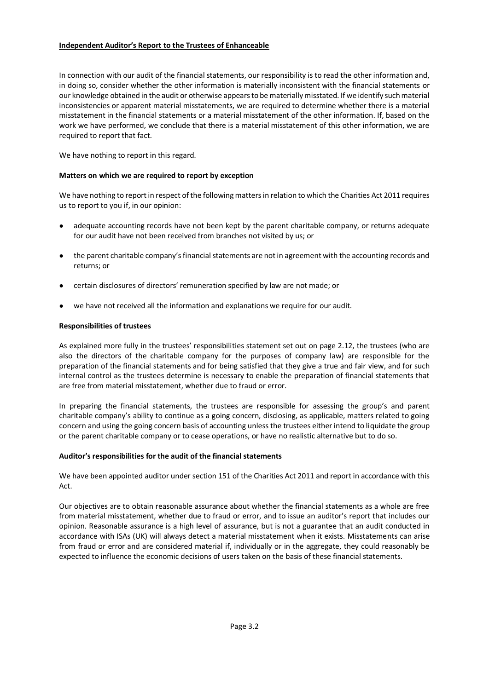In connection with our audit of the financial statements, our responsibility is to read the other information and, in doing so, consider whether the other information is materially inconsistent with the financial statements or our knowledge obtained in the audit or otherwise appears to be materially misstated. If we identify such material inconsistencies or apparent material misstatements, we are required to determine whether there is a material misstatement in the financial statements or a material misstatement of the other information. If, based on the work we have performed, we conclude that there is a material misstatement of this other information, we are required to report that fact.

We have nothing to report in this regard.

### **Matters on which we are required to report by exception**

We have nothing to report in respect of the following matters in relation to which the Charities Act 2011 requires us to report to you if, in our opinion:

- adequate accounting records have not been kept by the parent charitable company, or returns adequate for our audit have not been received from branches not visited by us; or
- the parent charitable company's financial statements are not in agreement with the accounting records and returns; or
- certain disclosures of directors' remuneration specified by law are not made; or
- we have not received all the information and explanations we require for our audit.

### **Responsibilities of trustees**

As explained more fully in the trustees' responsibilities statement set out on page 2.12, the trustees (who are also the directors of the charitable company for the purposes of company law) are responsible for the preparation of the financial statements and for being satisfied that they give a true and fair view, and for such internal control as the trustees determine is necessary to enable the preparation of financial statements that are free from material misstatement, whether due to fraud or error.

In preparing the financial statements, the trustees are responsible for assessing the group's and parent charitable company's ability to continue as a going concern, disclosing, as applicable, matters related to going concern and using the going concern basis of accounting unless the trustees either intend to liquidate the group or the parent charitable company or to cease operations, or have no realistic alternative but to do so.

### **Auditor's responsibilities for the audit of the financial statements**

We have been appointed auditor under section 151 of the Charities Act 2011 and report in accordance with this Act.

Our objectives are to obtain reasonable assurance about whether the financial statements as a whole are free from material misstatement, whether due to fraud or error, and to issue an auditor's report that includes our opinion. Reasonable assurance is a high level of assurance, but is not a guarantee that an audit conducted in accordance with ISAs (UK) will always detect a material misstatement when it exists. Misstatements can arise from fraud or error and are considered material if, individually or in the aggregate, they could reasonably be expected to influence the economic decisions of users taken on the basis of these financial statements.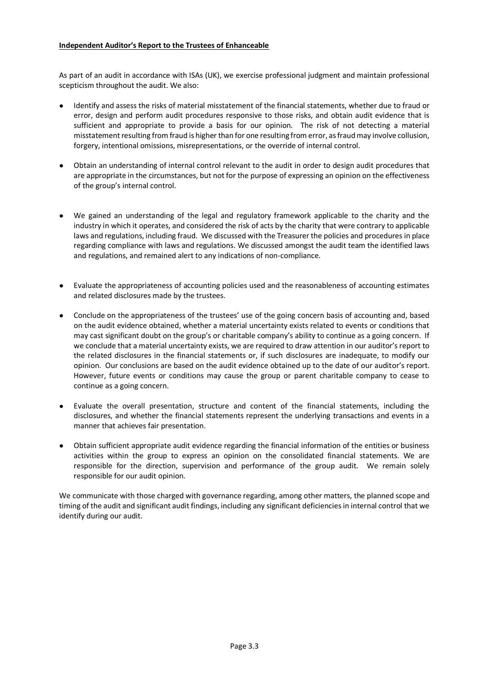As part of an audit in accordance with ISAs (UK), we exercise professional judgment and maintain professional scepticism throughout the audit. We also:

- Identify and assess the risks of material misstatement of the financial statements, whether due to fraud or error, design and perform audit procedures responsive to those risks, and obtain audit evidence that is sufficient and appropriate to provide a basis for our opinion. The risk of not detecting a material misstatement resulting from fraud is higher than for one resulting from error, as fraud may involve collusion, forgery, intentional omissions, misrepresentations, or the override of internal control.
- Obtain an understanding of internal control relevant to the audit in order to design audit procedures that are appropriate in the circumstances, but not for the purpose of expressing an opinion on the effectiveness of the group's internal control.
- We gained an understanding of the legal and regulatory framework applicable to the charity and the industry in which it operates, and considered the risk of acts by the charity that were contrary to applicable laws and regulations, including fraud. We discussed with the Treasurer the policies and procedures in place regarding compliance with laws and regulations. We discussed amongst the audit team the identified laws and regulations, and remained alert to any indications of non-compliance.
- Evaluate the appropriateness of accounting policies used and the reasonableness of accounting estimates and related disclosures made by the trustees.
- Conclude on the appropriateness of the trustees' use of the going concern basis of accounting and, based on the audit evidence obtained, whether a material uncertainty exists related to events or conditions that may cast significant doubt on the group's or charitable company's ability to continue as a going concern. If we conclude that a material uncertainty exists, we are required to draw attention in our auditor's report to the related disclosures in the financial statements or, if such disclosures are inadequate, to modify our opinion. Our conclusions are based on the audit evidence obtained up to the date of our auditor's report. However, future events or conditions may cause the group or parent charitable company to cease to continue as a going concern.
- Evaluate the overall presentation, structure and content of the financial statements, including the disclosures, and whether the financial statements represent the underlying transactions and events in a manner that achieves fair presentation.
- Obtain sufficient appropriate audit evidence regarding the financial information of the entities or business activities within the group to express an opinion on the consolidated financial statements. We are responsible for the direction, supervision and performance of the group audit. We remain solely responsible for our audit opinion.

We communicate with those charged with governance regarding, among other matters, the planned scope and timing of the audit and significant audit findings, including any significant deficiencies in internal control that we identify during our audit.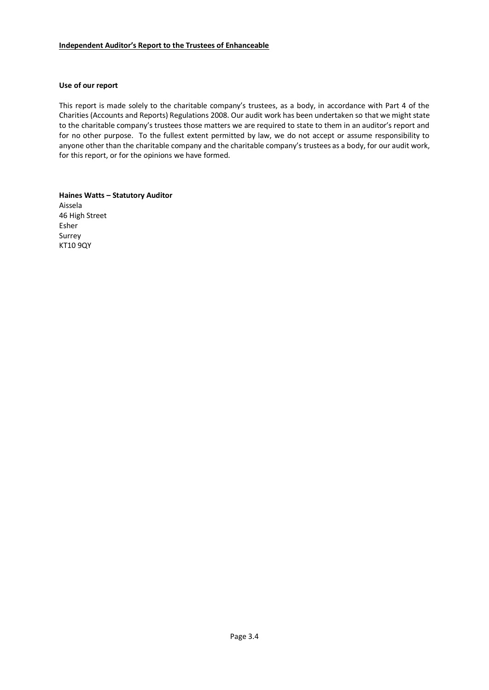### **Use of our report**

This report is made solely to the charitable company's trustees, as a body, in accordance with Part 4 of the Charities (Accounts and Reports) Regulations 2008. Our audit work has been undertaken so that we might state to the charitable company's trustees those matters we are required to state to them in an auditor's report and for no other purpose. To the fullest extent permitted by law, we do not accept or assume responsibility to anyone other than the charitable company and the charitable company's trustees as a body, for our audit work, for this report, or for the opinions we have formed.

**Haines Watts – Statutory Auditor** Aissela 46 High Street Esher Surrey KT10 9QY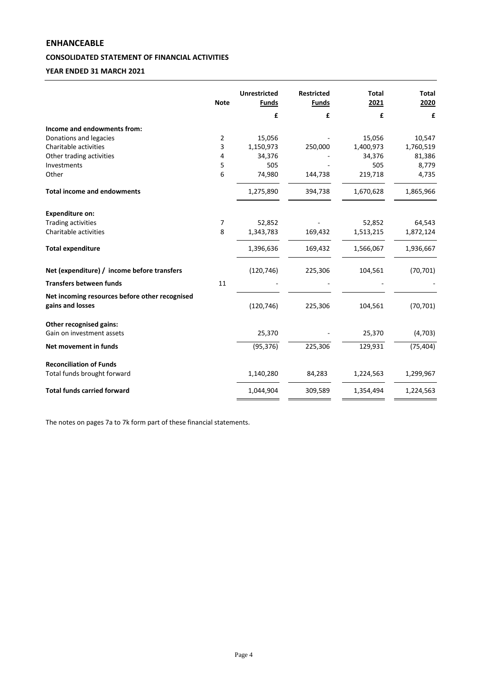# **CONSOLIDATED STATEMENT OF FINANCIAL ACTIVITIES**

# **YEAR ENDED 31 MARCH 2021**

|                                                | <b>Note</b>    | <b>Unrestricted</b><br><b>Funds</b> | <b>Restricted</b><br><b>Funds</b> | <b>Total</b><br>2021 | <b>Total</b><br>2020 |
|------------------------------------------------|----------------|-------------------------------------|-----------------------------------|----------------------|----------------------|
|                                                |                | £                                   | £                                 | £                    | £                    |
| Income and endowments from:                    |                |                                     |                                   |                      |                      |
| Donations and legacies                         | $\overline{2}$ | 15,056                              |                                   | 15,056               | 10,547               |
| Charitable activities                          | 3              | 1,150,973                           | 250,000                           | 1,400,973            | 1,760,519            |
| Other trading activities                       | 4              | 34,376                              |                                   | 34,376               | 81,386               |
| Investments                                    | 5              | 505                                 |                                   | 505                  | 8,779                |
| Other                                          | 6              | 74,980                              | 144,738                           | 219,718              | 4,735                |
| <b>Total income and endowments</b>             |                | 1,275,890                           | 394,738                           | 1,670,628            | 1,865,966            |
| <b>Expenditure on:</b>                         |                |                                     |                                   |                      |                      |
| <b>Trading activities</b>                      | 7              | 52,852                              |                                   | 52,852               | 64,543               |
| Charitable activities                          | 8              | 1,343,783                           | 169,432                           | 1,513,215            | 1,872,124            |
| <b>Total expenditure</b>                       |                | 1,396,636                           | 169,432                           | 1,566,067            | 1,936,667            |
| Net (expenditure) / income before transfers    |                | (120, 746)                          | 225,306                           | 104,561              | (70, 701)            |
| <b>Transfers between funds</b>                 | 11             |                                     |                                   |                      |                      |
| Net incoming resources before other recognised |                |                                     |                                   |                      |                      |
| gains and losses                               |                | (120, 746)                          | 225,306                           | 104,561              | (70, 701)            |
| Other recognised gains:                        |                |                                     |                                   |                      |                      |
| Gain on investment assets                      |                | 25,370                              |                                   | 25,370               | (4,703)              |
| Net movement in funds                          |                | (95, 376)                           | 225,306                           | 129,931              | (75, 404)            |
| <b>Reconciliation of Funds</b>                 |                |                                     |                                   |                      |                      |
| Total funds brought forward                    |                | 1,140,280                           | 84,283                            | 1,224,563            | 1,299,967            |
| <b>Total funds carried forward</b>             |                | 1,044,904                           | 309,589                           | 1,354,494            | 1,224,563            |

The notes on pages 7a to 7k form part of these financial statements.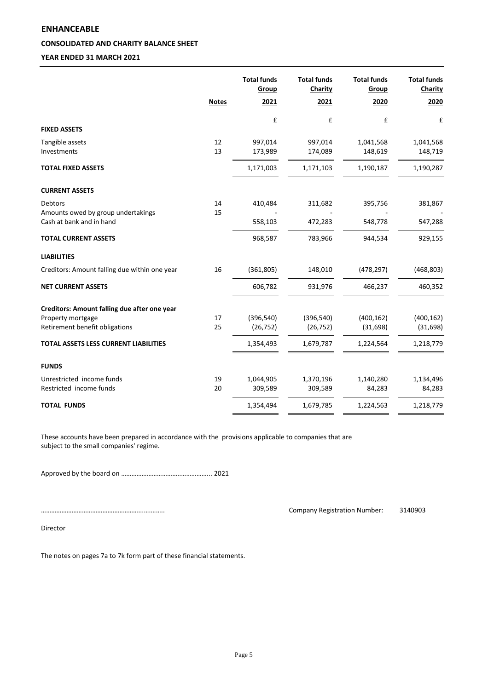# **ENHANCEABLE CONSOLIDATED AND CHARITY BALANCE SHEET YEAR ENDED 31 MARCH 2021**

|                                                                | <b>Notes</b> | <b>Total funds</b><br>Group<br>2021 | <b>Total funds</b><br>Charity<br>2021 | <b>Total funds</b><br>Group<br>2020 | <b>Total funds</b><br>Charity<br>2020 |
|----------------------------------------------------------------|--------------|-------------------------------------|---------------------------------------|-------------------------------------|---------------------------------------|
|                                                                |              | £                                   | £                                     | £                                   | $\pmb{\mathsf{f}}$                    |
| <b>FIXED ASSETS</b>                                            |              |                                     |                                       |                                     |                                       |
| Tangible assets<br>Investments                                 | 12<br>13     | 997,014<br>173,989                  | 997,014<br>174,089                    | 1,041,568<br>148,619                | 1,041,568<br>148,719                  |
|                                                                |              |                                     |                                       |                                     |                                       |
| <b>TOTAL FIXED ASSETS</b>                                      |              | 1,171,003                           | 1,171,103                             | 1,190,187                           | 1,190,287                             |
| <b>CURRENT ASSETS</b>                                          |              |                                     |                                       |                                     |                                       |
| Debtors                                                        | 14<br>15     | 410,484                             | 311,682                               | 395,756                             | 381,867                               |
| Amounts owed by group undertakings<br>Cash at bank and in hand |              | 558,103                             | 472,283                               | 548,778                             | 547,288                               |
| <b>TOTAL CURRENT ASSETS</b>                                    |              | 968,587                             | 783,966                               | 944,534                             | 929,155                               |
| <b>LIABILITIES</b>                                             |              |                                     |                                       |                                     |                                       |
| Creditors: Amount falling due within one year                  | 16           | (361, 805)                          | 148,010                               | (478, 297)                          | (468, 803)                            |
| <b>NET CURRENT ASSETS</b>                                      |              | 606,782                             | 931,976                               | 466,237                             | 460,352                               |
| Creditors: Amount falling due after one year                   |              |                                     |                                       |                                     |                                       |
| Property mortgage                                              | 17           | (396, 540)                          | (396, 540)                            | (400, 162)                          | (400, 162)                            |
| Retirement benefit obligations                                 | 25           | (26, 752)                           | (26, 752)                             | (31, 698)                           | (31, 698)                             |
| <b>TOTAL ASSETS LESS CURRENT LIABILITIES</b>                   |              | 1,354,493                           | 1,679,787                             | 1,224,564                           | 1,218,779                             |
| <b>FUNDS</b>                                                   |              |                                     |                                       |                                     |                                       |
| Unrestricted income funds                                      | 19           | 1,044,905                           | 1,370,196                             | 1,140,280                           | 1,134,496                             |
| Restricted income funds                                        | 20           | 309,589                             | 309,589                               | 84,283                              | 84,283                                |
| <b>TOTAL FUNDS</b>                                             |              | 1,354,494                           | 1,679,785                             | 1,224,563                           | 1,218,779                             |

These accounts have been prepared in accordance with the provisions applicable to companies that are subject to the small companies' regime.

Approved by the board on ……………………………..……………... 2021

…………………………………………………...….…….. Company Registration Number: 3140903

Director

The notes on pages 7a to 7k form part of these financial statements.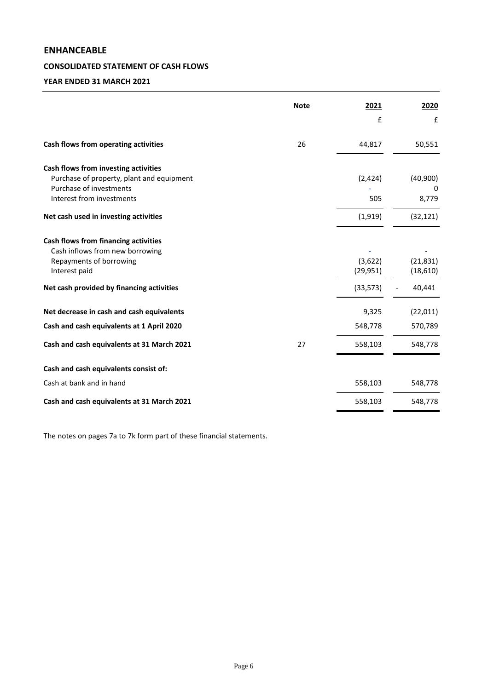# **CONSOLIDATED STATEMENT OF CASH FLOWS**

# **YEAR ENDED 31 MARCH 2021**

|                                                                      | <b>Note</b> | 2021      | 2020           |
|----------------------------------------------------------------------|-------------|-----------|----------------|
|                                                                      |             | £         | £              |
| Cash flows from operating activities                                 | 26          | 44,817    | 50,551         |
| Cash flows from investing activities                                 |             |           |                |
| Purchase of property, plant and equipment<br>Purchase of investments |             | (2, 424)  | (40, 900)<br>0 |
| Interest from investments                                            |             | 505       | 8,779          |
| Net cash used in investing activities                                |             | (1, 919)  | (32, 121)      |
| <b>Cash flows from financing activities</b>                          |             |           |                |
| Cash inflows from new borrowing                                      |             |           |                |
| Repayments of borrowing                                              |             | (3,622)   | (21, 831)      |
| Interest paid                                                        |             | (29, 951) | (18,610)       |
| Net cash provided by financing activities                            |             | (33, 573) | 40,441         |
| Net decrease in cash and cash equivalents                            |             | 9,325     | (22,011)       |
| Cash and cash equivalents at 1 April 2020                            |             | 548,778   | 570,789        |
| Cash and cash equivalents at 31 March 2021                           | 27          | 558,103   | 548,778        |
| Cash and cash equivalents consist of:                                |             |           |                |
| Cash at bank and in hand                                             |             | 558,103   | 548,778        |
| Cash and cash equivalents at 31 March 2021                           |             | 558,103   | 548,778        |

The notes on pages 7a to 7k form part of these financial statements.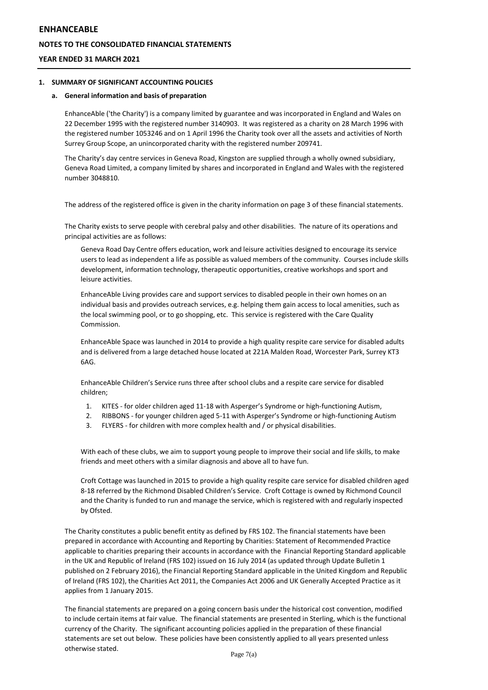# **1. SUMMARY OF SIGNIFICANT ACCOUNTING POLICIES**

# **a. General information and basis of preparation**

EnhanceAble ('the Charity') is a company limited by guarantee and was incorporated in England and Wales on 22 December 1995 with the registered number 3140903. It was registered as a charity on 28 March 1996 with the registered number 1053246 and on 1 April 1996 the Charity took over all the assets and activities of North Surrey Group Scope, an unincorporated charity with the registered number 209741.

The Charity's day centre services in Geneva Road, Kingston are supplied through a wholly owned subsidiary, Geneva Road Limited, a company limited by shares and incorporated in England and Wales with the registered number 3048810.

The address of the registered office is given in the charity information on page 3 of these financial statements.

The Charity exists to serve people with cerebral palsy and other disabilities. The nature of its operations and principal activities are as follows:

Geneva Road Day Centre offers education, work and leisure activities designed to encourage its service users to lead as independent a life as possible as valued members of the community. Courses include skills development, information technology, therapeutic opportunities, creative workshops and sport and leisure activities.

EnhanceAble Living provides care and support services to disabled people in their own homes on an individual basis and provides outreach services, e.g. helping them gain access to local amenities, such as the local swimming pool, or to go shopping, etc. This service is registered with the Care Quality Commission.

EnhanceAble Space was launched in 2014 to provide a high quality respite care service for disabled adults and is delivered from a large detached house located at 221A Malden Road, Worcester Park, Surrey KT3 6AG.

EnhanceAble Children's Service runs three after school clubs and a respite care service for disabled children;

- 1. KITES for older children aged 11-18 with Asperger's Syndrome or high-functioning Autism,
- 2. RIBBONS for younger children aged 5-11 with Asperger's Syndrome or high-functioning Autism
- 3. FLYERS for children with more complex health and / or physical disabilities.

With each of these clubs, we aim to support young people to improve their social and life skills, to make friends and meet others with a similar diagnosis and above all to have fun.

Croft Cottage was launched in 2015 to provide a high quality respite care service for disabled children aged 8-18 referred by the Richmond Disabled Children's Service. Croft Cottage is owned by Richmond Council and the Charity is funded to run and manage the service, which is registered with and regularly inspected by Ofsted.

The Charity constitutes a public benefit entity as defined by FRS 102. The financial statements have been prepared in accordance with Accounting and Reporting by Charities: Statement of Recommended Practice applicable to charities preparing their accounts in accordance with the Financial Reporting Standard applicable in the UK and Republic of Ireland (FRS 102) issued on 16 July 2014 (as updated through Update Bulletin 1 published on 2 February 2016), the Financial Reporting Standard applicable in the United Kingdom and Republic of Ireland (FRS 102), the Charities Act 2011, the Companies Act 2006 and UK Generally Accepted Practice as it applies from 1 January 2015.

The financial statements are prepared on a going concern basis under the historical cost convention, modified to include certain items at fair value. The financial statements are presented in Sterling, which is the functional currency of the Charity. The significant accounting policies applied in the preparation of these financial statements are set out below. These policies have been consistently applied to all years presented unless otherwise stated.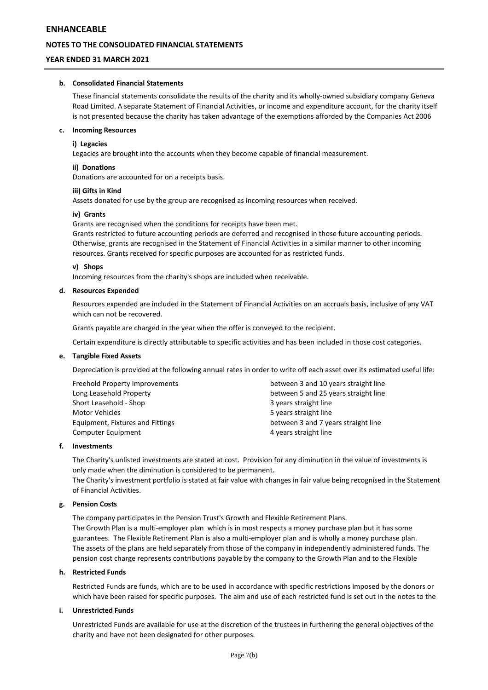# **NOTES TO THE CONSOLIDATED FINANCIAL STATEMENTS**

# **YEAR ENDED 31 MARCH 2021**

# **b. Consolidated Financial Statements**

These financial statements consolidate the results of the charity and its wholly-owned subsidiary company Geneva Road Limited. A separate Statement of Financial Activities, or income and expenditure account, for the charity itself is not presented because the charity has taken advantage of the exemptions afforded by the Companies Act 2006

### **c. Incoming Resources**

### **i) Legacies**

Legacies are brought into the accounts when they become capable of financial measurement.

### **ii) Donations**

Donations are accounted for on a receipts basis.

### **iii) Gifts in Kind**

Assets donated for use by the group are recognised as incoming resources when received.

### **iv) Grants**

Grants are recognised when the conditions for receipts have been met.

Grants restricted to future accounting periods are deferred and recognised in those future accounting periods. Otherwise, grants are recognised in the Statement of Financial Activities in a similar manner to other incoming resources. Grants received for specific purposes are accounted for as restricted funds.

### **v) Shops**

Incoming resources from the charity's shops are included when receivable.

### **d. Resources Expended**

Resources expended are included in the Statement of Financial Activities on an accruals basis, inclusive of any VAT which can not be recovered.

Grants payable are charged in the year when the offer is conveyed to the recipient.

Certain expenditure is directly attributable to specific activities and has been included in those cost categories.

# **e. Tangible Fixed Assets**

Depreciation is provided at the following annual rates in order to write off each asset over its estimated useful life:

| Freehold Property Improvements   | between 3 and 10 years straight line |
|----------------------------------|--------------------------------------|
| Long Leasehold Property          | between 5 and 25 years straight line |
| Short Leasehold - Shop           | 3 years straight line                |
| Motor Vehicles                   | 5 years straight line                |
| Equipment, Fixtures and Fittings | between 3 and 7 years straight line  |
| Computer Equipment               | 4 years straight line                |
|                                  |                                      |

### **f. Investments**

The Charity's unlisted investments are stated at cost. Provision for any diminution in the value of investments is only made when the diminution is considered to be permanent.

The Charity's investment portfolio is stated at fair value with changes in fair value being recognised in the Statement of Financial Activities.

# **g. Pension Costs**

The company participates in the Pension Trust's Growth and Flexible Retirement Plans. The Growth Plan is a multi-employer plan which is in most respects a money purchase plan but it has some guarantees. The Flexible Retirement Plan is also a multi-employer plan and is wholly a money purchase plan. The assets of the plans are held separately from those of the company in independently administered funds. The pension cost charge represents contributions payable by the company to the Growth Plan and to the Flexible

### **h. Restricted Funds**

Restricted Funds are funds, which are to be used in accordance with specific restrictions imposed by the donors or which have been raised for specific purposes. The aim and use of each restricted fund is set out in the notes to the

### **i. Unrestricted Funds**

Unrestricted Funds are available for use at the discretion of the trustees in furthering the general objectives of the charity and have not been designated for other purposes.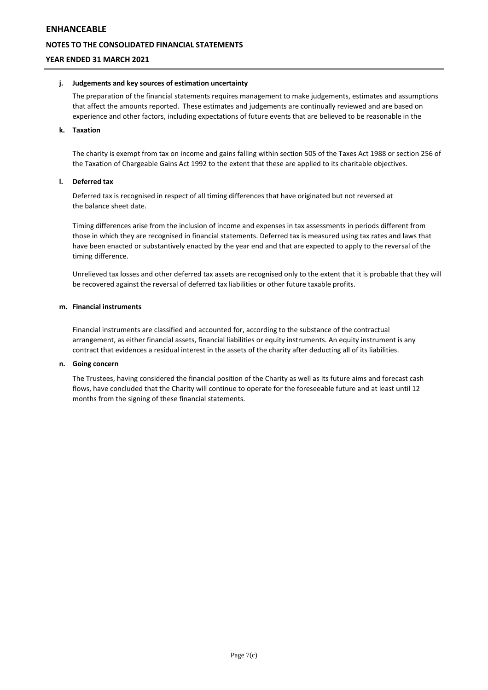# **j. Judgements and key sources of estimation uncertainty**

The preparation of the financial statements requires management to make judgements, estimates and assumptions that affect the amounts reported. These estimates and judgements are continually reviewed and are based on experience and other factors, including expectations of future events that are believed to be reasonable in the

### **k. Taxation**

The charity is exempt from tax on income and gains falling within section 505 of the Taxes Act 1988 or section 256 of the Taxation of Chargeable Gains Act 1992 to the extent that these are applied to its charitable objectives.

# **l. Deferred tax**

Deferred tax is recognised in respect of all timing differences that have originated but not reversed at the balance sheet date.

Timing differences arise from the inclusion of income and expenses in tax assessments in periods different from those in which they are recognised in financial statements. Deferred tax is measured using tax rates and laws that have been enacted or substantively enacted by the year end and that are expected to apply to the reversal of the timing difference.

Unrelieved tax losses and other deferred tax assets are recognised only to the extent that it is probable that they will be recovered against the reversal of deferred tax liabilities or other future taxable profits.

# **m. Financial instruments**

Financial instruments are classified and accounted for, according to the substance of the contractual arrangement, as either financial assets, financial liabilities or equity instruments. An equity instrument is any contract that evidences a residual interest in the assets of the charity after deducting all of its liabilities.

### **n. Going concern**

The Trustees, having considered the financial position of the Charity as well as its future aims and forecast cash flows, have concluded that the Charity will continue to operate for the foreseeable future and at least until 12 months from the signing of these financial statements.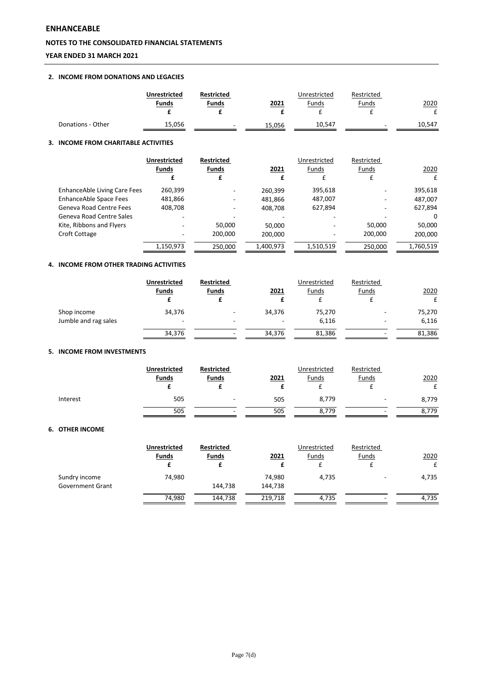# **2. INCOME FROM DONATIONS AND LEGACIES**

|                   | <b>Unrestricted</b><br><b>Funds</b> | <b>Restricted</b><br><b>Funds</b> | 2021   | Unrestricted<br>Funds | Restricted<br><b>Funds</b> | 2020   |
|-------------------|-------------------------------------|-----------------------------------|--------|-----------------------|----------------------------|--------|
| Donations - Other | 15,056                              |                                   | 15,056 | 10,547                | $\overline{\phantom{0}}$   | 10,547 |

# **3. INCOME FROM CHARITABLE ACTIVITIES**

|                                     | <b>Unrestricted</b><br><b>Funds</b> | <b>Restricted</b><br><b>Funds</b> | 2021      | Unrestricted<br>Funds    | Restricted<br>Funds      | 2020<br>$\mathbf{f}$ |
|-------------------------------------|-------------------------------------|-----------------------------------|-----------|--------------------------|--------------------------|----------------------|
| <b>EnhanceAble Living Care Fees</b> | 260,399                             |                                   | 260,399   | 395,618                  |                          | 395,618              |
| <b>EnhanceAble Space Fees</b>       | 481,866                             |                                   | 481,866   | 487,007                  |                          | 487,007              |
| <b>Geneva Road Centre Fees</b>      | 408,708                             |                                   | 408,708   | 627,894                  | $\overline{\phantom{0}}$ | 627,894              |
| Geneva Road Centre Sales            |                                     |                                   |           |                          |                          | $\Omega$             |
| Kite, Ribbons and Flyers            |                                     | 50,000                            | 50,000    | $\overline{\phantom{0}}$ | 50,000                   | 50,000               |
| Croft Cottage                       |                                     | 200,000                           | 200,000   |                          | 200,000                  | 200,000              |
|                                     | 1,150,973                           | 250,000                           | 1,400,973 | 1,510,519                | 250,000                  | 1,760,519            |

# **4. INCOME FROM OTHER TRADING ACTIVITIES**

|                      | <b>Unrestricted</b><br><b>Funds</b> | <b>Restricted</b><br><b>Funds</b> | 2021                     | Unrestricted<br><b>Funds</b> | Restricted<br><b>Funds</b> | 2020   |
|----------------------|-------------------------------------|-----------------------------------|--------------------------|------------------------------|----------------------------|--------|
| Shop income          | 34,376                              |                                   | 34,376                   | 75,270                       | $\overline{\phantom{0}}$   | 75,270 |
| Jumble and rag sales | $\overline{\phantom{a}}$            |                                   | $\overline{\phantom{a}}$ | 6,116                        |                            | 6,116  |
|                      | 34,376                              |                                   | 34,376                   | 81,386                       |                            | 81,386 |

# **5. INCOME FROM INVESTMENTS**

|          | <b>Unrestricted</b> | <b>Restricted</b>        |      | Unrestricted | Restricted |       |
|----------|---------------------|--------------------------|------|--------------|------------|-------|
|          | <b>Funds</b>        | <b>Funds</b>             | 2021 | Funds        | Funds      | 2020  |
|          |                     |                          |      |              |            |       |
| Interest | 505                 | $\overline{\phantom{a}}$ | 505  | 8,779        |            | 8,779 |
|          | 505                 |                          | 505  | 8,779        |            | 8,779 |

# **6. OTHER INCOME**

|                                          | <b>Unrestricted</b><br><b>Funds</b> | <b>Restricted</b><br><b>Funds</b> | 2021              | Unrestricted<br><b>Funds</b> | Restricted<br><b>Funds</b> | 2020  |
|------------------------------------------|-------------------------------------|-----------------------------------|-------------------|------------------------------|----------------------------|-------|
| Sundry income<br><b>Government Grant</b> | 74,980                              | 144,738                           | 74,980<br>144,738 | 4,735                        | $\overline{\phantom{0}}$   | 4,735 |
|                                          | 74,980                              | 144,738                           | 219,718           | 4,735                        |                            | 4,735 |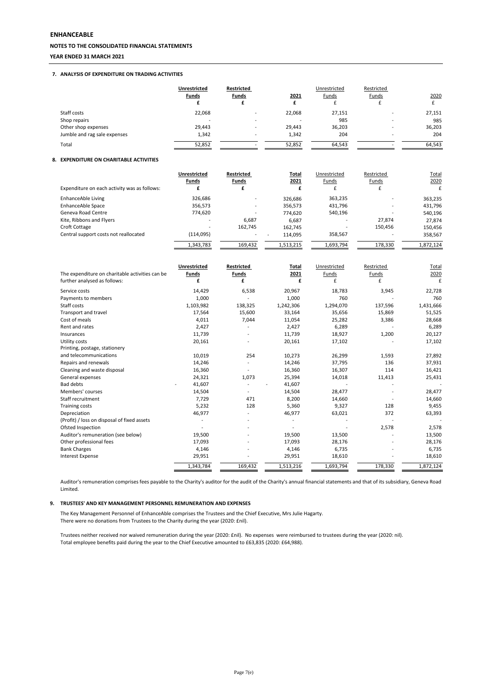# **NOTES TO THE CONSOLIDATED FINANCIAL STATEMENTS**

# **YEAR ENDED 31 MARCH 2021**

### **7. ANALYSIS OF EXPENDITURE ON TRADING ACTIVITIES**

|                              | <b>Unrestricted</b><br><b>Funds</b> | <b>Restricted</b><br><b>Funds</b> | 2021   | Unrestricted<br><b>Funds</b> | Restricted<br><b>Funds</b> | 2020   |
|------------------------------|-------------------------------------|-----------------------------------|--------|------------------------------|----------------------------|--------|
| Staff costs                  | 22,068                              | $\overline{\phantom{0}}$          | 22,068 | 27,151                       |                            | 27,151 |
| Shop repairs                 |                                     | $\overline{\phantom{0}}$          |        | 985                          |                            | 985    |
| Other shop expenses          | 29,443                              | $\overline{\phantom{0}}$          | 29,443 | 36,203                       |                            | 36,203 |
| Jumble and rag sale expenses | 1,342                               | $\overline{\phantom{0}}$          | 1,342  | 204                          |                            | 204    |
| Total                        | 52,852                              |                                   | 52,852 | 64,543                       |                            | 64,543 |

### **8. EXPENDITURE ON CHARITABLE ACTIVITIES**

|                                              | <b>Unrestricted</b> | <b>Restricted</b>        | <b>Total</b> | Unrestricted | Restricted   | <b>Total</b> |
|----------------------------------------------|---------------------|--------------------------|--------------|--------------|--------------|--------------|
|                                              | <b>Funds</b>        | <b>Funds</b>             | 2021         | <u>Funds</u> | <b>Funds</b> | 2020         |
| Expenditure on each activity was as follows: |                     |                          |              |              |              |              |
| EnhanceAble Living                           | 326,686             | $\overline{\phantom{a}}$ | 326,686      | 363,235      |              | 363,235      |
| EnhanceAble Space                            | 356,573             | $\overline{\phantom{a}}$ | 356,573      | 431,796      |              | 431,796      |
| Geneva Road Centre                           | 774,620             |                          | 774,620      | 540,196      |              | 540,196      |
| Kite, Ribbons and Flyers                     |                     | 6,687                    | 6,687        |              | 27,874       | 27,874       |
| Croft Cottage                                |                     | 162,745                  | 162,745      |              | 150,456      | 150,456      |
| Central support costs not reallocated        | (114, 095)          | $\overline{\phantom{0}}$ | 114,095      | 358,567      |              | 358,567      |
|                                              | 1,343,783           | 169,432                  | 1,513,215    | 1,693,794    | 178,330      | 1,872,124    |

|                                                 | Unrestricted | <b>Restricted</b> | <b>Total</b> | Unrestricted | Restricted | <b>Total</b> |
|-------------------------------------------------|--------------|-------------------|--------------|--------------|------------|--------------|
| The expenditure on charitable activities can be | <b>Funds</b> | <b>Funds</b>      | 2021         | <b>Funds</b> | Funds      | 2020         |
| further analysed as follows:                    | £            | £                 | £            | £            | £          | $\mathbf f$  |
| Service costs                                   | 14,429       | 6,538             | 20,967       | 18,783       | 3,945      | 22,728       |
| Payments to members                             | 1,000        |                   | 1,000        | 760          |            | 760          |
| Staff costs                                     | 1,103,982    | 138,325           | 1,242,306    | 1,294,070    | 137,596    | 1,431,666    |
| Transport and travel                            | 17,564       | 15,600            | 33,164       | 35,656       | 15,869     | 51,525       |
| Cost of meals                                   | 4,011        | 7,044             | 11,054       | 25,282       | 3,386      | 28,668       |
| Rent and rates                                  | 2,427        |                   | 2,427        | 6,289        |            | 6,289        |
| Insurances                                      | 11,739       |                   | 11,739       | 18,927       | 1,200      | 20,127       |
| Utility costs                                   | 20,161       |                   | 20,161       | 17,102       |            | 17,102       |
| Printing, postage, stationery                   |              |                   |              |              |            |              |
| and telecommunications                          | 10,019       | 254               | 10,273       | 26,299       | 1,593      | 27,892       |
| Repairs and renewals                            | 14,246       |                   | 14,246       | 37,795       | 136        | 37,931       |
| Cleaning and waste disposal                     | 16,360       |                   | 16,360       | 16,307       | 114        | 16,421       |
| General expenses                                | 24,321       | 1,073             | 25,394       | 14,018       | 11,413     | 25,431       |
| <b>Bad debts</b>                                | 41,607       |                   | 41,607       |              |            |              |
| Members' courses                                | 14,504       |                   | 14,504       | 28,477       |            | 28,477       |
| Staff recruitment                               | 7,729        | 471               | 8,200        | 14,660       |            | 14,660       |
| <b>Training costs</b>                           | 5,232        | 128               | 5,360        | 9,327        | 128        | 9,455        |
| Depreciation                                    | 46,977       |                   | 46,977       | 63,021       | 372        | 63,393       |
| (Profit) / loss on disposal of fixed assets     |              |                   |              |              |            |              |
| Ofsted Inspection                               |              |                   |              |              | 2,578      | 2,578        |
| Auditor's remuneration (see below)              | 19,500       |                   | 19,500       | 13,500       |            | 13,500       |
| Other professional fees                         | 17,093       |                   | 17,093       | 28,176       |            | 28,176       |
| <b>Bank Charges</b>                             | 4,146        |                   | 4,146        | 6,735        |            | 6,735        |
| <b>Interest Expense</b>                         | 29,951       |                   | 29,951       | 18,610       |            | 18,610       |
|                                                 | 1,343,784    | 169,432           | 1,513,216    | 1,693,794    | 178,330    | 1,872,124    |

### **9. TRUSTEES' AND KEY MANAGEMENT PERSONNEL REMUNERATION AND EXPENSES**

The Key Management Personnel of EnhanceAble comprises the Trustees and the Chief Executive, Mrs Julie Hagarty. There were no donations from Trustees to the Charity during the year (2020: £nil).

Auditor's remuneration comprises fees payable to the Charity's auditor for the audit of the Charity's annual financial statements and that of its subsidiary, Geneva Road Limited.

Total employee benefits paid during the year to the Chief Executive amounted to £63,835 (2020: £64,988). Trustees neither received nor waived remuneration during the year (2020: £nil). No expenses were reimbursed to trustees during the year (2020: nil).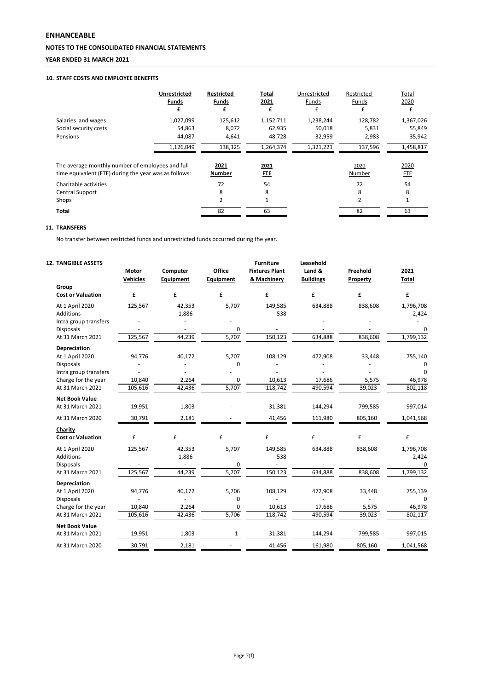# **NOTES TO THE CONSOLIDATED FINANCIAL STATEMENTS**

# **YEAR ENDED 31 MARCH 2021**

# **10. STAFF COSTS AND EMPLOYEE BENEFITS**

|                                                                                                           | <b>Unrestricted</b><br><b>Funds</b><br>£ | <b>Restricted</b><br><b>Funds</b><br>£ | <b>Total</b><br>2021<br>£ | Unrestricted<br>Funds<br>£ | Restricted<br>Funds | Total<br>2020       |
|-----------------------------------------------------------------------------------------------------------|------------------------------------------|----------------------------------------|---------------------------|----------------------------|---------------------|---------------------|
| Salaries and wages<br>Social security costs                                                               | 1,027,099<br>54,863                      | 125,612<br>8,072                       | 1,152,711<br>62,935       | 1,238,244<br>50,018        | 128,782<br>5,831    | 1,367,026<br>55,849 |
| <b>Pensions</b>                                                                                           | 44,087                                   | 4,641                                  | 48,728                    | 32,959                     | 2,983               | 35,942              |
|                                                                                                           | 1,126,049                                | 138,325                                | 1,264,374                 | 1,321,221                  | 137,596             | 1,458,817           |
| The average monthly number of employees and full<br>time equivalent (FTE) during the year was as follows: |                                          | 2021<br><b>Number</b>                  | 2021<br><b>FTE</b>        |                            | 2020<br>Number      | 2020<br>FTE         |
| Charitable activities                                                                                     |                                          | 72                                     | 54                        |                            | 72                  | 54                  |
| <b>Central Support</b>                                                                                    |                                          | 8                                      | 8                         |                            | 8                   | 8                   |
| Shops                                                                                                     |                                          |                                        |                           |                            |                     |                     |
| <b>Total</b>                                                                                              |                                          | 82                                     | 63                        |                            | 82                  | 63                  |

# **11. TRANSFERS**

No transfer between restricted funds and unrestricted funds occurred during the year.

| <b>12. TANGIBLE ASSETS</b><br>Group                   | <b>Motor</b><br><b>Vehicles</b> | Computer<br>Equipment | <b>Office</b><br>Equipment | <b>Furniture</b><br><b>Fixtures Plant</b><br>& Machinery | Leasehold<br>Land &<br><b>Buildings</b> | Freehold<br><b>Property</b> | 2021<br><b>Total</b> |
|-------------------------------------------------------|---------------------------------|-----------------------|----------------------------|----------------------------------------------------------|-----------------------------------------|-----------------------------|----------------------|
| <b>Cost or Valuation</b>                              | $\pmb{\mathsf{f}}$              | £                     | £                          | $\mathbf f$                                              | £                                       | $\mathbf f$                 | $\pmb{\mathsf{f}}$   |
| At 1 April 2020<br>Additions<br>Intra group transfers | 125,567                         | 42,353<br>1,886       | 5,707                      | 149,585<br>538                                           | 634,888                                 | 838,608                     | 1,796,708<br>2,424   |
| <b>Disposals</b>                                      |                                 |                       | $\mathbf 0$                |                                                          |                                         |                             | 0                    |
| At 31 March 2021                                      | 125,567                         | 44,239                | 5,707                      | 150,123                                                  | 634,888                                 | 838,608                     | 1,799,132            |
| <b>Depreciation</b><br>At 1 April 2020                | 94,776                          | 40,172                | 5,707                      | 108,129                                                  | 472,908                                 | 33,448                      | 755,140              |
| <b>Disposals</b>                                      |                                 |                       | 0                          |                                                          |                                         |                             | 0                    |
| Intra group transfers                                 |                                 |                       |                            |                                                          |                                         |                             | $\Omega$             |
| Charge for the year                                   | 10,840                          | 2,264                 | $\mathbf 0$                | 10,613                                                   | 17,686                                  | 5,575                       | 46,978               |
| At 31 March 2021                                      | 105,616                         | 42,436                | 5,707                      | 118,742                                                  | 490,594                                 | 39,023                      | 802,118              |
| <b>Net Book Value</b><br>At 31 March 2021             | 19,951                          | 1,803                 |                            | 31,381                                                   | 144,294                                 | 799,585                     | 997,014              |
| At 31 March 2020                                      | 30,791                          | 2,181                 |                            | 41,456                                                   | 161,980                                 | 805,160                     | 1,041,568            |
| <b>Charity</b><br><b>Cost or Valuation</b>            | £                               | £                     | $\pmb{\mathsf{f}}$         | £                                                        | £                                       | £                           | £                    |
| At 1 April 2020                                       | 125,567                         | 42,353                | 5,707                      | 149,585                                                  | 634,888                                 | 838,608                     | 1,796,708            |
| <b>Additions</b>                                      |                                 | 1,886                 |                            | 538                                                      |                                         |                             | 2,424                |
| <b>Disposals</b>                                      |                                 |                       | 0                          |                                                          |                                         |                             |                      |
| At 31 March 2021                                      | 125,567                         | 44,239                | 5,707                      | 150,123                                                  | 634,888                                 | 838,608                     | 1,799,132            |
| <b>Depreciation</b><br>At 1 April 2020                | 94,776                          | 40,172                | 5,706                      | 108,129                                                  | 472,908                                 | 33,448                      | 755,139              |
| <b>Disposals</b>                                      |                                 |                       | 0                          |                                                          |                                         |                             |                      |
| Charge for the year                                   | 10,840                          | 2,264                 | 0                          | 10,613                                                   | 17,686                                  | 5,575                       | 46,978               |
| At 31 March 2021                                      | 105,616                         | 42,436                | 5,706                      | 118,742                                                  | 490,594                                 | 39,023                      | 802,117              |
| <b>Net Book Value</b>                                 |                                 |                       |                            |                                                          |                                         |                             |                      |
| At 31 March 2021                                      | 19,951                          | 1,803                 | 1                          | 31,381                                                   | 144,294                                 | 799,585                     | 997,015              |
| At 31 March 2020                                      | 30,791                          | 2,181                 |                            | 41,456                                                   | 161,980                                 | 805,160                     | 1,041,568            |
|                                                       |                                 |                       |                            |                                                          |                                         |                             |                      |

Page 7(f)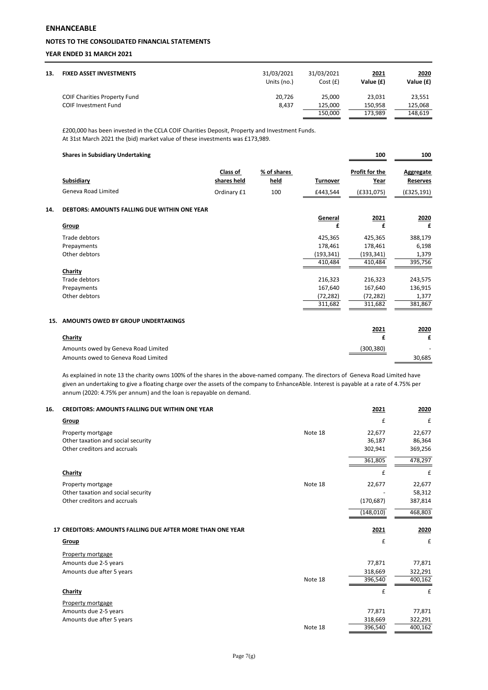# **NOTES TO THE CONSOLIDATED FINANCIAL STATEMENTS**

# **YEAR ENDED 31 MARCH 2021**

| 13. | <b>FIXED ASSET INVESTMENTS</b>      | 31/03/2021<br>Units (no.) | 31/03/2021<br>Cost(f) | 2021<br>Value (£) | 2020<br>Value (£) |
|-----|-------------------------------------|---------------------------|-----------------------|-------------------|-------------------|
|     | <b>COIF Charities Property Fund</b> | 20,726                    | 25,000                | 23,031            | 23,551            |
|     | <b>COIF Investment Fund</b>         | 8,437                     | 125,000               | 150,958           | 125,068           |
|     |                                     |                           | 150,000               | 173,989           | 148,619           |

£200,000 has been invested in the CCLA COIF Charities Deposit, Property and Investment Funds. At 31st March 2021 the (bid) market value of these investments was £173,989.

|     | <b>Shares in Subsidiary Undertaking</b>             |                         |                     |                       | 100                           | 100                                 |
|-----|-----------------------------------------------------|-------------------------|---------------------|-----------------------|-------------------------------|-------------------------------------|
|     | <b>Subsidiary</b>                                   | Class of<br>shares held | % of shares<br>held | <b>Turnover</b>       | <b>Profit for the</b><br>Year | <b>Aggregate</b><br><b>Reserves</b> |
|     | <b>Geneva Road Limited</b>                          | Ordinary £1             | 100                 | £443,544              | (E331,075)                    | (E325, 191)                         |
| 14. | <b>DEBTORS: AMOUNTS FALLING DUE WITHIN ONE YEAR</b> |                         |                     |                       |                               |                                     |
|     | Group                                               |                         |                     | General<br>£          | 2021<br>£                     | 2020<br>£                           |
|     | <b>Trade debtors</b>                                |                         |                     | 425,365               |                               | 388,179                             |
|     |                                                     |                         |                     |                       | 425,365                       |                                     |
|     | Prepayments<br>Other debtors                        |                         |                     | 178,461               | 178,461                       | 6,198                               |
|     |                                                     |                         |                     | (193, 341)<br>410,484 | (193, 341)<br>410,484         | 1,379<br>395,756                    |
|     | Charity                                             |                         |                     |                       |                               |                                     |
|     | Trade debtors                                       |                         |                     | 216,323               | 216,323                       | 243,575                             |
|     | Prepayments                                         |                         |                     | 167,640               | 167,640                       | 136,915                             |
|     | Other debtors                                       |                         |                     | (72, 282)             | (72, 282)                     | 1,377                               |
|     |                                                     |                         |                     | 311,682               | 311,682                       | 381,867                             |
| 15. | AMOUNTS OWED BY GROUP UNDERTAKINGS                  |                         |                     |                       |                               |                                     |
|     |                                                     |                         |                     |                       | 2021                          | 2020                                |
|     | <b>Charity</b>                                      |                         |                     |                       | £                             | £                                   |
|     | Amounts owed by Geneva Road Limited                 |                         |                     |                       | (300, 380)                    |                                     |
|     | Amounts owed to Geneva Road Limited                 |                         |                     |                       |                               | 30,685                              |

| 16. | <b>CREDITORS: AMOUNTS FALLING DUE WITHIN ONE YEAR</b> |         | 2021       | 2020    |
|-----|-------------------------------------------------------|---------|------------|---------|
|     | Group                                                 |         | £          | £       |
|     | Property mortgage                                     | Note 18 | 22,677     | 22,677  |
|     | Other taxation and social security                    |         | 36,187     | 86,364  |
|     | Other creditors and accruals                          |         | 302,941    | 369,256 |
|     |                                                       |         | 361,805    | 478,297 |
|     | Charity                                               |         | f          | £       |
|     | Property mortgage                                     | Note 18 | 22,677     | 22,677  |
|     | Other taxation and social security                    |         |            | 58,312  |
|     | Other creditors and accruals                          |         | (170, 687) | 387,814 |
|     |                                                       |         | (148, 010) | 468,803 |
|     |                                                       |         |            |         |

| 17 CREDITORS: AMOUNTS FALLING DUE AFTER MORE THAN ONE YEAR |         | 2021    | 2020    |
|------------------------------------------------------------|---------|---------|---------|
| Group                                                      |         | £       | £       |
| Property mortgage                                          |         |         |         |
| Amounts due 2-5 years                                      |         | 77,871  | 77,871  |
| Amounts due after 5 years                                  |         | 318,669 | 322,291 |
|                                                            | Note 18 | 396,540 | 400,162 |
| Charity                                                    |         | f       | £       |
| Property mortgage                                          |         |         |         |
| Amounts due 2-5 years                                      |         | 77,871  | 77,871  |
| Amounts due after 5 years                                  |         | 318,669 | 322,291 |
|                                                            | Note 18 | 396,540 | 400,162 |

As explained in note 13 the charity owns 100% of the shares in the above-named company. The directors of Geneva Road Limited have given an undertaking to give a floating charge over the assets of the company to EnhanceAble. Interest is payable at a rate of 4.75% per annum (2020: 4.75% per annum) and the loan is repayable on demand.

Page 7(g)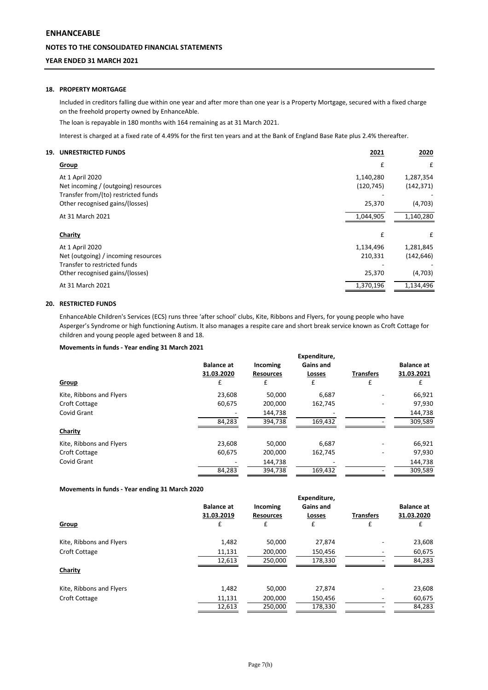# **18. PROPERTY MORTGAGE**

Included in creditors falling due within one year and after more than one year is a Property Mortgage, secured with a fixed charge on the freehold property owned by EnhanceAble.

The loan is repayable in 180 months with 164 remaining as at 31 March 2021.

Interest is charged at a fixed rate of 4.49% for the first ten years and at the Bank of England Base Rate plus 2.4% thereafter.

| <b>UNRESTRICTED FUNDS</b><br>19.                                           | 2021       | 2020       |
|----------------------------------------------------------------------------|------------|------------|
| Group                                                                      | £          | £          |
| At 1 April 2020                                                            | 1,140,280  | 1,287,354  |
| Net incoming / (outgoing) resources<br>Transfer from/(to) restricted funds | (120, 745) | (142, 371) |
| Other recognised gains/(losses)                                            | 25,370     | (4,703)    |
| At 31 March 2021                                                           | 1,044,905  | 1,140,280  |
| Charity                                                                    | £          | £          |
| At 1 April 2020                                                            | 1,134,496  | 1,281,845  |
| Net (outgoing) / incoming resources                                        | 210,331    | (142, 646) |
| Transfer to restricted funds                                               |            |            |
| Other recognised gains/(losses)                                            | 25,370     | (4,703)    |
| At 31 March 2021                                                           | 1,370,196  | 1,134,496  |

# **20. RESTRICTED FUNDS**

EnhanceAble Children's Services (ECS) runs three 'after school' clubs, Kite, Ribbons and Flyers, for young people who have Asperger's Syndrome or high functioning Autism. It also manages a respite care and short break service known as Croft Cottage for children and young people aged between 8 and 18.

# **Movements in funds - Year ending 31 March 2021**

|                          | <b>Balance</b> at<br>31.03.2020 | Incoming<br><b>Resources</b> | Expenditure,<br><b>Gains and</b><br><b>Losses</b> | <b>Transfers</b> | <b>Balance at</b><br>31.03.2021 |
|--------------------------|---------------------------------|------------------------------|---------------------------------------------------|------------------|---------------------------------|
| <b>Group</b>             | £                               | £                            | £                                                 | f                | £                               |
| Kite, Ribbons and Flyers | 23,608                          | 50,000                       | 6,687                                             |                  | 66,921                          |
| Croft Cottage            | 60,675                          | 200,000                      | 162,745                                           |                  | 97,930                          |
| Covid Grant              |                                 | 144,738                      |                                                   |                  | 144,738                         |
|                          | 84,283                          | 394,738                      | 169,432                                           |                  | 309,589                         |
| <b>Charity</b>           |                                 |                              |                                                   |                  |                                 |
| Kite, Ribbons and Flyers | 23,608                          | 50,000                       | 6,687                                             |                  | 66,921                          |
| Croft Cottage            | 60,675                          | 200,000                      | 162,745                                           |                  | 97,930                          |
| Covid Grant              |                                 | 144,738                      |                                                   |                  | 144,738                         |
|                          | 84,283                          | 394,738                      | 169,432                                           |                  | 309,589                         |

# **Movements in funds - Year ending 31 March 2020**

|                          | <b>Balance at</b> | Incoming              | Expenditure,<br>Gains and |                       | <b>Balance at</b> |
|--------------------------|-------------------|-----------------------|---------------------------|-----------------------|-------------------|
| Group                    | 31.03.2019<br>£   | <b>Resources</b><br>£ | <b>Losses</b><br>£        | <b>Transfers</b><br>£ | 31.03.2020<br>£   |
|                          | 1,482             | 50,000                | 27,874                    |                       |                   |
| Kite, Ribbons and Flyers |                   |                       |                           |                       | 23,608            |
| <b>Croft Cottage</b>     | 11,131            | 200,000               | 150,456                   |                       | 60,675            |
|                          | 12,613            | 250,000               | 178,330                   |                       | 84,283            |
| <b>Charity</b>           |                   |                       |                           |                       |                   |
| Kite, Ribbons and Flyers | 1,482             | 50,000                | 27,874                    |                       | 23,608            |
| <b>Croft Cottage</b>     | 11,131            | 200,000               | 150,456                   |                       | 60,675            |
|                          | 12,613            | 250,000               | 178,330                   |                       | 84,283            |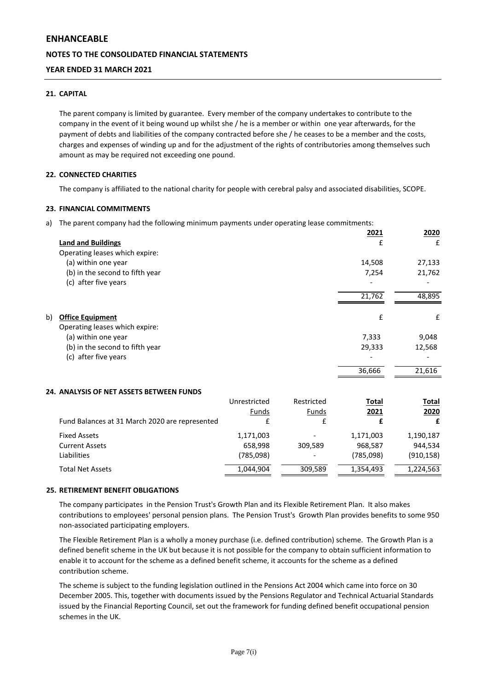# **NOTES TO THE CONSOLIDATED FINANCIAL STATEMENTS**

# **YEAR ENDED 31 MARCH 2021**

# **21. CAPITAL**

The parent company is limited by guarantee. Every member of the company undertakes to contribute to the company in the event of it being wound up whilst she / he is a member or within one year afterwards, for the payment of debts and liabilities of the company contracted before she / he ceases to be a member and the costs, charges and expenses of winding up and for the adjustment of the rights of contributories among themselves such amount as may be required not exceeding one pound.

# **22. CONNECTED CHARITIES**

The company is affiliated to the national charity for people with cerebral palsy and associated disabilities, SCOPE.

# **23. FINANCIAL COMMITMENTS**

a) The parent company had the following minimum payments under operating lease commitments:

|                                          | 2021   | 2020   |
|------------------------------------------|--------|--------|
| <b>Land and Buildings</b>                | f      | £      |
| Operating leases which expire:           |        |        |
| (a) within one year                      | 14,508 | 27,133 |
| (b) in the second to fifth year          | 7,254  | 21,762 |
| (c) after five years                     |        |        |
|                                          | 21,762 | 48,895 |
| b)<br><b>Office Equipment</b>            | £      | £      |
| Operating leases which expire:           |        |        |
| (a) within one year                      | 7,333  | 9,048  |
| (b) in the second to fifth year          | 29,333 | 12,568 |
| (c) after five years                     |        |        |
|                                          | 36,666 | 21,616 |
| 24. ANALYSIS OF NFT ASSFTS BETWEEN FUNDS |        |        |

| Fund Balances at 31 March 2020 are represented | Unrestricted<br><b>Funds</b> | Restricted<br><b>Funds</b> | <u>Total</u><br>2021 | <b>Total</b><br>2020<br>£ |
|------------------------------------------------|------------------------------|----------------------------|----------------------|---------------------------|
| <b>Fixed Assets</b>                            | 1,171,003                    | $\overline{\phantom{a}}$   | 1,171,003            | 1,190,187                 |
| <b>Current Assets</b>                          | 658,998                      | 309.589                    | 968,587              | 944,534                   |
| Liabilities                                    | (785,098)                    | -                          | (785,098)            | (910, 158)                |
| <b>Total Net Assets</b>                        | 1,044,904                    | 309,589                    | 1,354,493            | 1,224,563                 |

### **25. RETIREMENT BENEFIT OBLIGATIONS**

The company participates in the Pension Trust's Growth Plan and its Flexible Retirement Plan. It also makes contributions to employees' personal pension plans. The Pension Trust's Growth Plan provides benefits to some 950 non-associated participating employers.

The Flexible Retirement Plan is a wholly a money purchase (i.e. defined contribution) scheme. The Growth Plan is a defined benefit scheme in the UK but because it is not possible for the company to obtain sufficient information to enable it to account for the scheme as a defined benefit scheme, it accounts for the scheme as a defined contribution scheme.

The scheme is subject to the funding legislation outlined in the Pensions Act 2004 which came into force on 30 December 2005. This, together with documents issued by the Pensions Regulator and Technical Actuarial Standards issued by the Financial Reporting Council, set out the framework for funding defined benefit occupational pension schemes in the UK.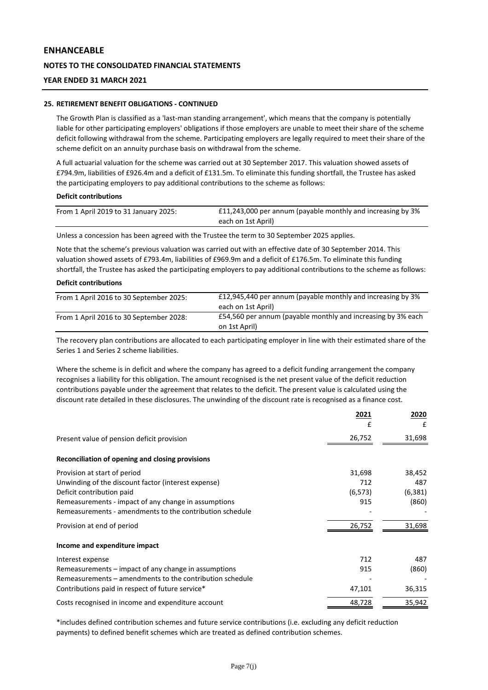# **NOTES TO THE CONSOLIDATED FINANCIAL STATEMENTS**

# **YEAR ENDED 31 MARCH 2021**

# **25. RETIREMENT BENEFIT OBLIGATIONS - CONTINUED**

The Growth Plan is classified as a 'last-man standing arrangement', which means that the company is potentially liable for other participating employers' obligations if those employers are unable to meet their share of the scheme deficit following withdrawal from the scheme. Participating employers are legally required to meet their share of the scheme deficit on an annuity purchase basis on withdrawal from the scheme.

A full actuarial valuation for the scheme was carried out at 30 September 2017. This valuation showed assets of £794.9m, liabilities of £926.4m and a deficit of £131.5m. To eliminate this funding shortfall, the Trustee has asked the participating employers to pay additional contributions to the scheme as follows:

### **Deficit contributions**

| From 1 April 2019 to 31 January 2025: | £11,243,000 per annum (payable monthly and increasing by 3% |
|---------------------------------------|-------------------------------------------------------------|
|                                       | each on 1st April)                                          |

Unless a concession has been agreed with the Trustee the term to 30 September 2025 applies.

Note that the scheme's previous valuation was carried out with an effective date of 30 September 2014. This valuation showed assets of £793.4m, liabilities of £969.9m and a deficit of £176.5m. To eliminate this funding shortfall, the Trustee has asked the participating employers to pay additional contributions to the scheme as follows:

### **Deficit contributions**

| From 1 April 2016 to 30 September 2025: | £12,945,440 per annum (payable monthly and increasing by 3%  |  |
|-----------------------------------------|--------------------------------------------------------------|--|
|                                         | each on 1st April)                                           |  |
| From 1 April 2016 to 30 September 2028: | £54,560 per annum (payable monthly and increasing by 3% each |  |
|                                         | on 1st April)                                                |  |

The recovery plan contributions are allocated to each participating employer in line with their estimated share of the Series 1 and Series 2 scheme liabilities.

Where the scheme is in deficit and where the company has agreed to a deficit funding arrangement the company recognises a liability for this obligation. The amount recognised is the net present value of the deficit reduction contributions payable under the agreement that relates to the deficit. The present value is calculated using the discount rate detailed in these disclosures. The unwinding of the discount rate is recognised as a finance cost.

|                                                          | 2021     | 2020     |
|----------------------------------------------------------|----------|----------|
|                                                          | £        | £        |
| Present value of pension deficit provision               | 26,752   | 31,698   |
| Reconciliation of opening and closing provisions         |          |          |
| Provision at start of period                             | 31,698   | 38,452   |
| Unwinding of the discount factor (interest expense)      | 712      | 487      |
| Deficit contribution paid                                | (6, 573) | (6, 381) |
| Remeasurements - impact of any change in assumptions     | 915      | (860)    |
| Remeasurements - amendments to the contribution schedule |          |          |
| Provision at end of period                               | 26,752   | 31,698   |
| Income and expenditure impact                            |          |          |
| Interest expense                                         | 712      | 487      |
| Remeasurements – impact of any change in assumptions     | 915      | (860)    |
| Remeasurements – amendments to the contribution schedule |          |          |
| Contributions paid in respect of future service*         | 47,101   | 36,315   |
| Costs recognised in income and expenditure account       | 48,728   | 35,942   |

\*includes defined contribution schemes and future service contributions (i.e. excluding any deficit reduction payments) to defined benefit schemes which are treated as defined contribution schemes.